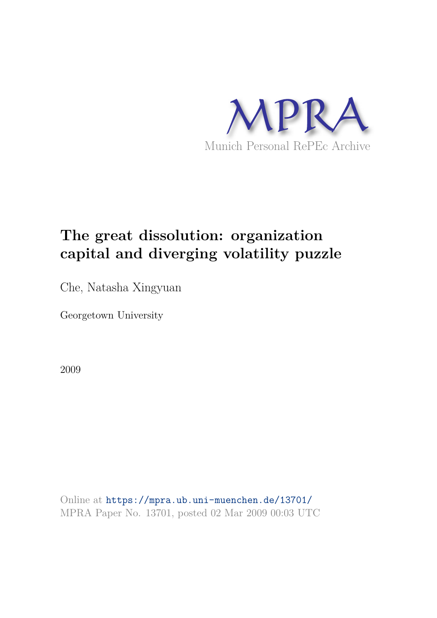

# **The great dissolution: organization capital and diverging volatility puzzle**

Che, Natasha Xingyuan

Georgetown University

2009

Online at https://mpra.ub.uni-muenchen.de/13701/ MPRA Paper No. 13701, posted 02 Mar 2009 00:03 UTC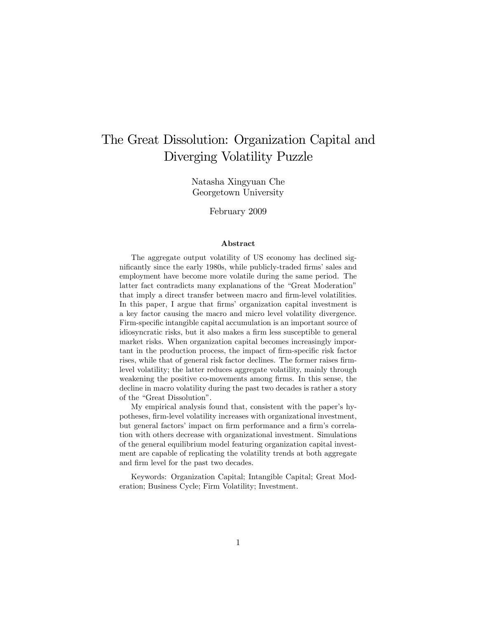## The Great Dissolution: Organization Capital and Diverging Volatility Puzzle

Natasha Xingyuan Che Georgetown University

February 2009

#### Abstract

The aggregate output volatility of US economy has declined significantly since the early 1980s, while publicly-traded firms' sales and employment have become more volatile during the same period. The latter fact contradicts many explanations of the "Great Moderation" that imply a direct transfer between macro and firm-level volatilities. In this paper, I argue that firms' organization capital investment is a key factor causing the macro and micro level volatility divergence. Firm-specific intangible capital accumulation is an important source of idiosyncratic risks, but it also makes a firm less susceptible to general market risks. When organization capital becomes increasingly important in the production process, the impact of firm-specific risk factor rises, while that of general risk factor declines. The former raises firmlevel volatility; the latter reduces aggregate volatility, mainly through weakening the positive co-movements among firms. In this sense, the decline in macro volatility during the past two decades is rather a story of the "Great Dissolution".

My empirical analysis found that, consistent with the paper's hypotheses, firm-level volatility increases with organizational investment, but general factors' impact on firm performance and a firm's correlation with others decrease with organizational investment. Simulations of the general equilibrium model featuring organization capital investment are capable of replicating the volatility trends at both aggregate and firm level for the past two decades.

Keywords: Organization Capital; Intangible Capital; Great Moderation; Business Cycle; Firm Volatility; Investment.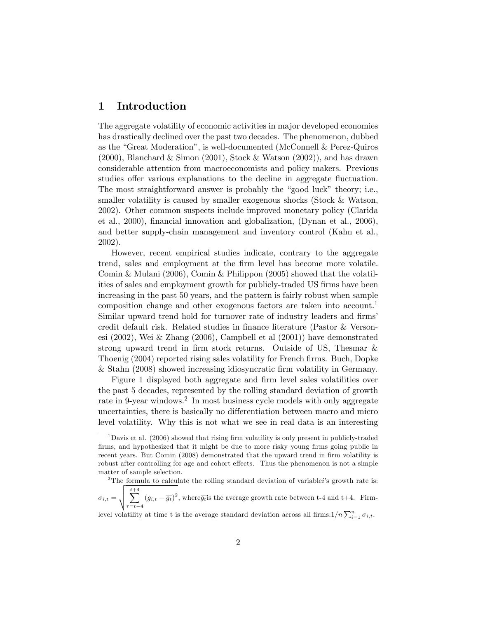## 1 Introduction

The aggregate volatility of economic activities in major developed economies has drastically declined over the past two decades. The phenomenon, dubbed as the "Great Moderation", is well-documented (McConnell & Perez-Quiros  $(2000)$ , Blanchard & Simon  $(2001)$ , Stock & Watson  $(2002)$ , and has drawn considerable attention from macroeconomists and policy makers. Previous studies offer various explanations to the decline in aggregate fluctuation. The most straightforward answer is probably the "good luck" theory; i.e., smaller volatility is caused by smaller exogenous shocks (Stock & Watson, 2002). Other common suspects include improved monetary policy (Clarida et al., 2000), financial innovation and globalization, (Dynan et al., 2006), and better supply-chain management and inventory control (Kahn et al., 2002).

However, recent empirical studies indicate, contrary to the aggregate trend, sales and employment at the Örm level has become more volatile. Comin & Mulani (2006), Comin & Philippon (2005) showed that the volatilities of sales and employment growth for publicly-traded US firms have been increasing in the past 50 years, and the pattern is fairly robust when sample composition change and other exogenous factors are taken into account.<sup>1</sup> Similar upward trend hold for turnover rate of industry leaders and firms' credit default risk. Related studies in Önance literature (Pastor & Versonesi (2002), Wei & Zhang (2006), Campbell et al (2001)) have demonstrated strong upward trend in firm stock returns. Outside of US, Thesmar & Thoenig (2004) reported rising sales volatility for French firms. Buch, Dopke & Stahn (2008) showed increasing idiosyncratic Örm volatility in Germany.

Figure 1 displayed both aggregate and firm level sales volatilities over the past 5 decades, represented by the rolling standard deviation of growth rate in 9-year windows.<sup>2</sup> In most business cycle models with only aggregate uncertainties, there is basically no differentiation between macro and micro level volatility. Why this is not what we see in real data is an interesting

<sup>&</sup>lt;sup>1</sup>Davis et al. (2006) showed that rising firm volatility is only present in publicly-traded firms, and hypothesized that it might be due to more risky young firms going public in recent years. But Comin (2008) demonstrated that the upward trend in firm volatility is robust after controlling for age and cohort effects. Thus the phenomenon is not a simple matter of sample selection.

<sup>&</sup>lt;sup>2</sup>The formula to calculate the rolling standard deviation of variablei's growth rate is:

 $\sigma_{i,t} = \sqrt{\sum_{\tau = t-4}^{t+4}}$  $(g_{i,t} - \overline{g_t})^2$ , where  $\overline{g_t}$  is the average growth rate between t-4 and t+4. Firm-

level volatility at time t is the average standard deviation across all firms: $1/n \sum_{i=1}^{n} \sigma_{i,t}$ .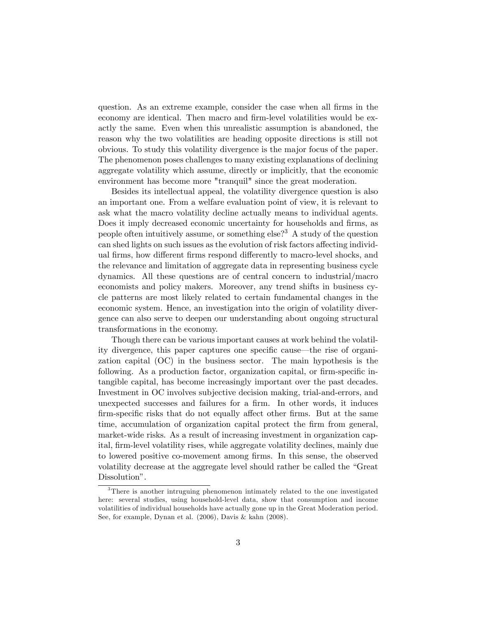question. As an extreme example, consider the case when all firms in the economy are identical. Then macro and firm-level volatilities would be exactly the same. Even when this unrealistic assumption is abandoned, the reason why the two volatilities are heading opposite directions is still not obvious. To study this volatility divergence is the major focus of the paper. The phenomenon poses challenges to many existing explanations of declining aggregate volatility which assume, directly or implicitly, that the economic environment has become more "tranquil" since the great moderation.

Besides its intellectual appeal, the volatility divergence question is also an important one. From a welfare evaluation point of view, it is relevant to ask what the macro volatility decline actually means to individual agents. Does it imply decreased economic uncertainty for households and firms, as people often intuitively assume, or something else?<sup>3</sup> A study of the question can shed lights on such issues as the evolution of risk factors affecting individual firms, how different firms respond differently to macro-level shocks, and the relevance and limitation of aggregate data in representing business cycle dynamics. All these questions are of central concern to industrial/macro economists and policy makers. Moreover, any trend shifts in business cycle patterns are most likely related to certain fundamental changes in the economic system. Hence, an investigation into the origin of volatility divergence can also serve to deepen our understanding about ongoing structural transformations in the economy.

Though there can be various important causes at work behind the volatility divergence, this paper captures one specific cause—the rise of organization capital (OC) in the business sector. The main hypothesis is the following. As a production factor, organization capital, or firm-specific intangible capital, has become increasingly important over the past decades. Investment in OC involves subjective decision making, trial-and-errors, and unexpected successes and failures for a firm. In other words, it induces firm-specific risks that do not equally affect other firms. But at the same time, accumulation of organization capital protect the firm from general, market-wide risks. As a result of increasing investment in organization capital, firm-level volatility rises, while aggregate volatility declines, mainly due to lowered positive co-movement among Örms. In this sense, the observed volatility decrease at the aggregate level should rather be called the "Great" Dissolution".

<sup>3</sup>There is another intruguing phenomenon intimately related to the one investigated here: several studies, using household-level data, show that consumption and income volatilities of individual households have actually gone up in the Great Moderation period. See, for example, Dynan et al. (2006), Davis & kahn (2008).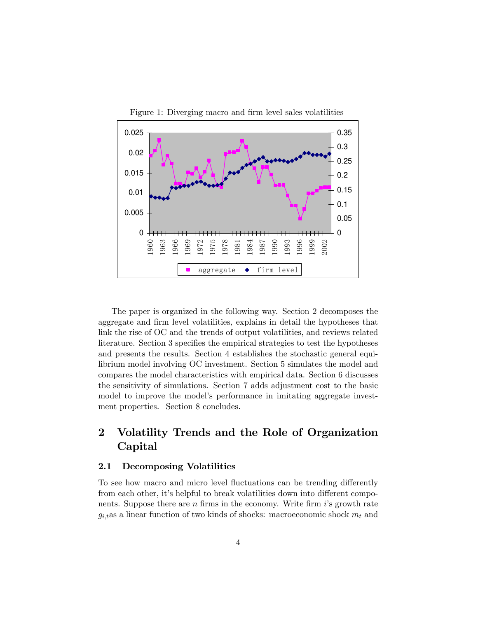

The paper is organized in the following way. Section 2 decomposes the aggregate and firm level volatilities, explains in detail the hypotheses that link the rise of OC and the trends of output volatilities, and reviews related literature. Section 3 specifies the empirical strategies to test the hypotheses and presents the results. Section 4 establishes the stochastic general equilibrium model involving OC investment. Section 5 simulates the model and compares the model characteristics with empirical data. Section 6 discusses the sensitivity of simulations. Section 7 adds adjustment cost to the basic model to improve the model's performance in imitating aggregate investment properties. Section 8 concludes.

## 2 Volatility Trends and the Role of Organization Capital

#### 2.1 Decomposing Volatilities

To see how macro and micro level fluctuations can be trending differently from each other, it's helpful to break volatilities down into different components. Suppose there are  $n$  firms in the economy. Write firm  $i$ 's growth rate  $g_{i,t}$ as a linear function of two kinds of shocks: macroeconomic shock  $m_t$  and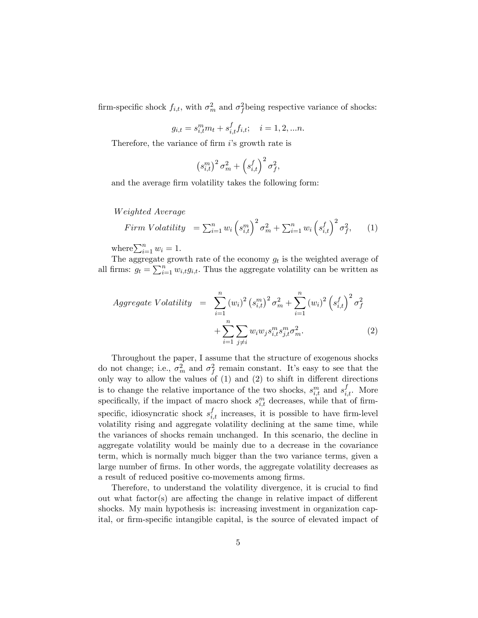firm-specific shock  $f_{i,t}$ , with  $\sigma_m^2$  and  $\sigma_f^2$ being respective variance of shocks:

$$
g_{i,t} = s_{i,t}^m m_t + s_{i,t}^f f_{i,t}; \quad i = 1, 2, ...n.
$$

Therefore, the variance of firm  $i$ 's growth rate is

$$
\left(s_{i,t}^m\right)^2 \sigma_m^2 + \left(s_{i,t}^f\right)^2 \sigma_f^2,
$$

and the average firm volatility takes the following form:

W eighted Average

$$
Firm Volatility = \sum_{i=1}^{n} w_i \left(s_{i,t}^m\right)^2 \sigma_m^2 + \sum_{i=1}^{n} w_i \left(s_{i,t}^f\right)^2 \sigma_f^2, \qquad (1)
$$

where  $\sum_{i=1}^{n} w_i = 1$ .

The aggregate growth rate of the economy  $g_t$  is the weighted average of all firms:  $g_t = \sum_{i=1}^n w_{i,t} g_{i,t}$ . Thus the aggregate volatility can be written as

$$
Aggregate Volatility = \sum_{i=1}^{n} (w_i)^2 (s_{i,t}^m)^2 \sigma_m^2 + \sum_{i=1}^{n} (w_i)^2 (s_{i,t}^f)^2 \sigma_f^2
$$

$$
+ \sum_{i=1}^{n} \sum_{j \neq i} w_i w_j s_{i,t}^m s_{j,t}^m \sigma_m^2.
$$
 (2)

Throughout the paper, I assume that the structure of exogenous shocks do not change; i.e.,  $\sigma_m^2$  and  $\sigma_f^2$  remain constant. It's easy to see that the only way to allow the values of  $(1)$  and  $(2)$  to shift in different directions is to change the relative importance of the two shocks,  $s_{i,t}^m$  and  $s_{i,t}^f$ . More specifically, if the impact of macro shock  $s_{i,t}^m$  decreases, while that of firmspecific, idiosyncratic shock  $s_{i,t}^f$  increases, it is possible to have firm-level volatility rising and aggregate volatility declining at the same time, while the variances of shocks remain unchanged. In this scenario, the decline in aggregate volatility would be mainly due to a decrease in the covariance term, which is normally much bigger than the two variance terms, given a large number of firms. In other words, the aggregate volatility decreases as a result of reduced positive co-movements among firms.

Therefore, to understand the volatility divergence, it is crucial to find out what factor(s) are affecting the change in relative impact of different shocks. My main hypothesis is: increasing investment in organization capital, or firm-specific intangible capital, is the source of elevated impact of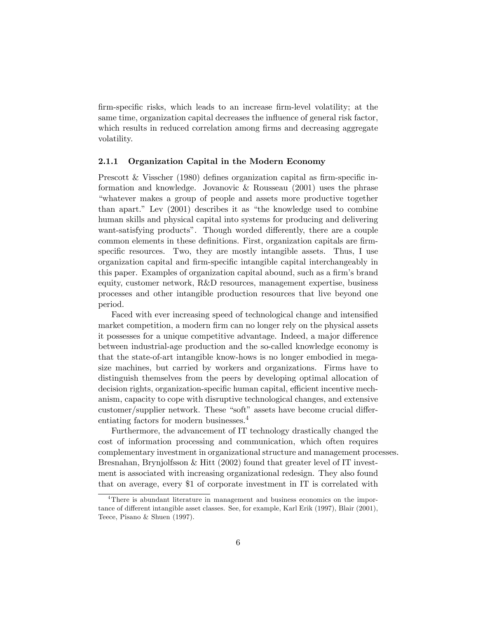firm-specific risks, which leads to an increase firm-level volatility; at the same time, organization capital decreases the influence of general risk factor, which results in reduced correlation among firms and decreasing aggregate volatility.

#### 2.1.1 Organization Capital in the Modern Economy

Prescott & Visscher  $(1980)$  defines organization capital as firm-specific information and knowledge. Jovanovic & Rousseau (2001) uses the phrase ìwhatever makes a group of people and assets more productive together than apart." Lev  $(2001)$  describes it as "the knowledge used to combine human skills and physical capital into systems for producing and delivering want-satisfying products". Though worded differently, there are a couple common elements in these definitions. First, organization capitals are firmspecific resources. Two, they are mostly intangible assets. Thus, I use organization capital and firm-specific intangible capital interchangeably in this paper. Examples of organization capital abound, such as a firm's brand equity, customer network, R&D resources, management expertise, business processes and other intangible production resources that live beyond one period.

Faced with ever increasing speed of technological change and intensified market competition, a modern firm can no longer rely on the physical assets it possesses for a unique competitive advantage. Indeed, a major difference between industrial-age production and the so-called knowledge economy is that the state-of-art intangible know-hows is no longer embodied in megasize machines, but carried by workers and organizations. Firms have to distinguish themselves from the peers by developing optimal allocation of decision rights, organization-specific human capital, efficient incentive mechanism, capacity to cope with disruptive technological changes, and extensive customer/supplier network. These "soft" assets have become crucial differentiating factors for modern businesses.<sup>4</sup>

Furthermore, the advancement of IT technology drastically changed the cost of information processing and communication, which often requires complementary investment in organizational structure and management processes. Bresnahan, Brynjolfsson & Hitt (2002) found that greater level of IT investment is associated with increasing organizational redesign. They also found that on average, every \$1 of corporate investment in IT is correlated with

<sup>&</sup>lt;sup>4</sup>There is abundant literature in management and business economics on the importance of different intangible asset classes. See, for example, Karl Erik (1997), Blair (2001), Teece, Pisano & Shuen (1997).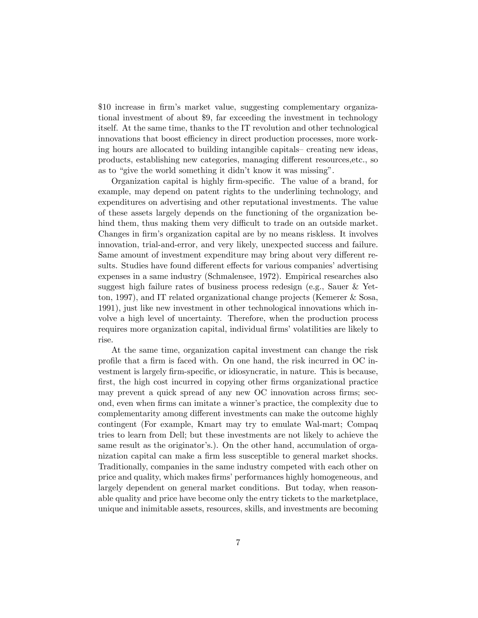\$10 increase in firm's market value, suggesting complementary organizational investment of about \$9, far exceeding the investment in technology itself. At the same time, thanks to the IT revolution and other technological innovations that boost efficiency in direct production processes, more working hours are allocated to building intangible capitals– creating new ideas, products, establishing new categories, managing different resources, etc., so as to "give the world something it didn't know it was missing".

Organization capital is highly firm-specific. The value of a brand, for example, may depend on patent rights to the underlining technology, and expenditures on advertising and other reputational investments. The value of these assets largely depends on the functioning of the organization behind them, thus making them very difficult to trade on an outside market. Changes in firm's organization capital are by no means riskless. It involves innovation, trial-and-error, and very likely, unexpected success and failure. Same amount of investment expenditure may bring about very different results. Studies have found different effects for various companies' advertising expenses in a same industry (Schmalensee, 1972). Empirical researches also suggest high failure rates of business process redesign (e.g., Sauer & Yetton, 1997), and IT related organizational change projects (Kemerer & Sosa, 1991), just like new investment in other technological innovations which involve a high level of uncertainty. Therefore, when the production process requires more organization capital, individual firms' volatilities are likely to rise.

At the same time, organization capital investment can change the risk profile that a firm is faced with. On one hand, the risk incurred in OC investment is largely firm-specific, or idiosyncratic, in nature. This is because, first, the high cost incurred in copying other firms organizational practice may prevent a quick spread of any new OC innovation across firms; second, even when firms can imitate a winner's practice, the complexity due to complementarity among different investments can make the outcome highly contingent (For example, Kmart may try to emulate Wal-mart; Compaq tries to learn from Dell; but these investments are not likely to achieve the same result as the originator's.). On the other hand, accumulation of organization capital can make a firm less susceptible to general market shocks. Traditionally, companies in the same industry competed with each other on price and quality, which makes Örmsí performances highly homogeneous, and largely dependent on general market conditions. But today, when reasonable quality and price have become only the entry tickets to the marketplace, unique and inimitable assets, resources, skills, and investments are becoming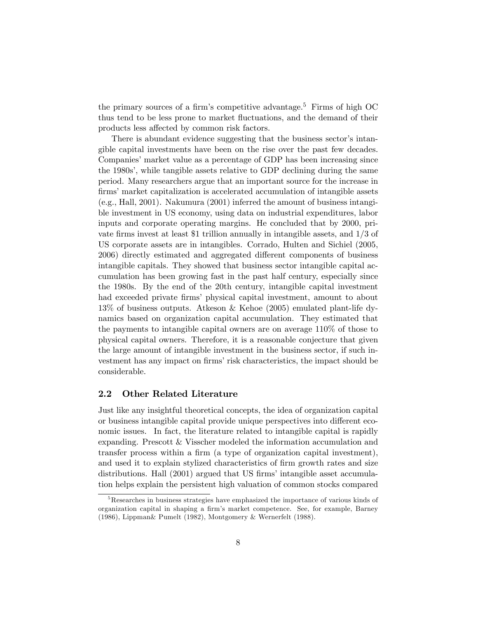the primary sources of a firm's competitive advantage.<sup>5</sup> Firms of high  $OC$ thus tend to be less prone to market fluctuations, and the demand of their products less affected by common risk factors.

There is abundant evidence suggesting that the business sector's intangible capital investments have been on the rise over the past few decades. Companiesí market value as a percentage of GDP has been increasing since the 1980s', while tangible assets relative to GDP declining during the same period. Many researchers argue that an important source for the increase in firms' market capitalization is accelerated accumulation of intangible assets (e.g., Hall, 2001). Nakumura (2001) inferred the amount of business intangible investment in US economy, using data on industrial expenditures, labor inputs and corporate operating margins. He concluded that by 2000, private firms invest at least \$1 trillion annually in intangible assets, and  $1/3$  of US corporate assets are in intangibles. Corrado, Hulten and Sichiel (2005, 2006) directly estimated and aggregated different components of business intangible capitals. They showed that business sector intangible capital accumulation has been growing fast in the past half century, especially since the 1980s. By the end of the 20th century, intangible capital investment had exceeded private firms' physical capital investment, amount to about 13% of business outputs. Atkeson & Kehoe (2005) emulated plant-life dynamics based on organization capital accumulation. They estimated that the payments to intangible capital owners are on average 110% of those to physical capital owners. Therefore, it is a reasonable conjecture that given the large amount of intangible investment in the business sector, if such investment has any impact on firms' risk characteristics, the impact should be considerable.

#### 2.2 Other Related Literature

Just like any insightful theoretical concepts, the idea of organization capital or business intangible capital provide unique perspectives into different economic issues. In fact, the literature related to intangible capital is rapidly expanding. Prescott & Visscher modeled the information accumulation and transfer process within a firm (a type of organization capital investment), and used it to explain stylized characteristics of firm growth rates and size distributions. Hall (2001) argued that US firms' intangible asset accumulation helps explain the persistent high valuation of common stocks compared

<sup>&</sup>lt;sup>5</sup>Researches in business strategies have emphasized the importance of various kinds of organization capital in shaping a Örmís market competence. See, for example, Barney (1986), Lippman& Pumelt (1982), Montgomery & Wernerfelt (1988).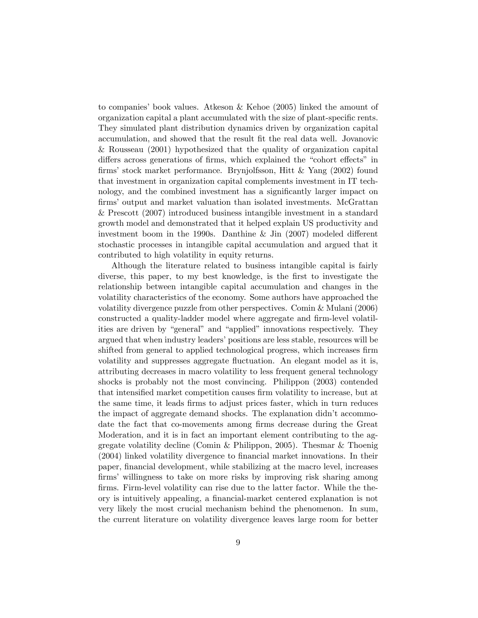to companies' book values. Atkeson & Kehoe (2005) linked the amount of organization capital a plant accumulated with the size of plant-specific rents. They simulated plant distribution dynamics driven by organization capital accumulation, and showed that the result Öt the real data well. Jovanovic & Rousseau (2001) hypothesized that the quality of organization capital differs across generations of firms, which explained the "cohort effects" in Örmsí stock market performance. Brynjolfsson, Hitt & Yang (2002) found that investment in organization capital complements investment in IT technology, and the combined investment has a significantly larger impact on firms' output and market valuation than isolated investments. McGrattan & Prescott (2007) introduced business intangible investment in a standard growth model and demonstrated that it helped explain US productivity and investment boom in the 1990s. Danthine & Jin  $(2007)$  modeled different stochastic processes in intangible capital accumulation and argued that it contributed to high volatility in equity returns.

Although the literature related to business intangible capital is fairly diverse, this paper, to my best knowledge, is the first to investigate the relationship between intangible capital accumulation and changes in the volatility characteristics of the economy. Some authors have approached the volatility divergence puzzle from other perspectives. Comin & Mulani (2006) constructed a quality-ladder model where aggregate and firm-level volatilities are driven by "general" and "applied" innovations respectively. They argued that when industry leaders' positions are less stable, resources will be shifted from general to applied technological progress, which increases firm volatility and suppresses aggregate fluctuation. An elegant model as it is, attributing decreases in macro volatility to less frequent general technology shocks is probably not the most convincing. Philippon (2003) contended that intensified market competition causes firm volatility to increase, but at the same time, it leads Örms to adjust prices faster, which in turn reduces the impact of aggregate demand shocks. The explanation didn't accommodate the fact that co-movements among firms decrease during the Great Moderation, and it is in fact an important element contributing to the aggregate volatility decline (Comin & Philippon, 2005). Thesmar & Thoenig (2004) linked volatility divergence to Önancial market innovations. In their paper, Önancial development, while stabilizing at the macro level, increases firms' willingness to take on more risks by improving risk sharing among firms. Firm-level volatility can rise due to the latter factor. While the theory is intuitively appealing, a financial-market centered explanation is not very likely the most crucial mechanism behind the phenomenon. In sum, the current literature on volatility divergence leaves large room for better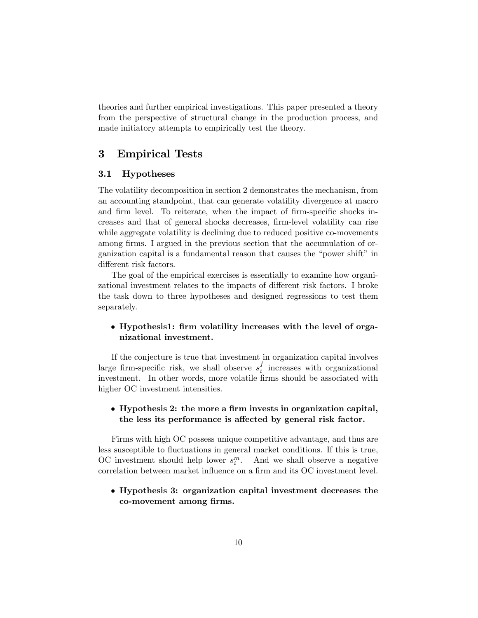theories and further empirical investigations. This paper presented a theory from the perspective of structural change in the production process, and made initiatory attempts to empirically test the theory.

## 3 Empirical Tests

#### 3.1 Hypotheses

The volatility decomposition in section 2 demonstrates the mechanism, from an accounting standpoint, that can generate volatility divergence at macro and firm level. To reiterate, when the impact of firm-specific shocks increases and that of general shocks decreases, Örm-level volatility can rise while aggregate volatility is declining due to reduced positive co-movements among firms. I argued in the previous section that the accumulation of organization capital is a fundamental reason that causes the "power shift" in different risk factors.

The goal of the empirical exercises is essentially to examine how organizational investment relates to the impacts of different risk factors. I broke the task down to three hypotheses and designed regressions to test them separately.

#### • Hypothesis1: firm volatility increases with the level of organizational investment.

If the conjecture is true that investment in organization capital involves large firm-specific risk, we shall observe  $s_i^f$  $i$  increases with organizational investment. In other words, more volatile firms should be associated with higher OC investment intensities.

#### $\bullet$  Hypothesis 2: the more a firm invests in organization capital, the less its performance is affected by general risk factor.

Firms with high OC possess unique competitive advantage, and thus are less susceptible to fluctuations in general market conditions. If this is true, OC investment should help lower  $s_i^m$ . And we shall observe a negative correlation between market influence on a firm and its OC investment level.

#### Hypothesis 3: organization capital investment decreases the co-movement among firms.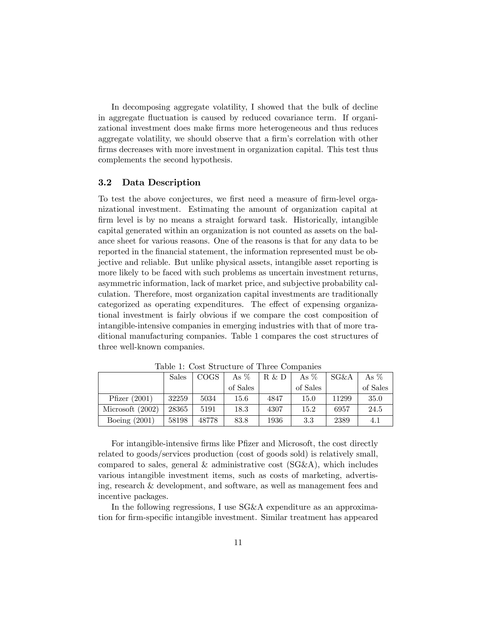In decomposing aggregate volatility, I showed that the bulk of decline in aggregate fluctuation is caused by reduced covariance term. If organizational investment does make Örms more heterogeneous and thus reduces aggregate volatility, we should observe that a firm's correlation with other firms decreases with more investment in organization capital. This test thus complements the second hypothesis.

#### 3.2 Data Description

To test the above conjectures, we first need a measure of firm-level organizational investment. Estimating the amount of organization capital at firm level is by no means a straight forward task. Historically, intangible capital generated within an organization is not counted as assets on the balance sheet for various reasons. One of the reasons is that for any data to be reported in the financial statement, the information represented must be objective and reliable. But unlike physical assets, intangible asset reporting is more likely to be faced with such problems as uncertain investment returns, asymmetric information, lack of market price, and subjective probability calculation. Therefore, most organization capital investments are traditionally categorized as operating expenditures. The effect of expensing organizational investment is fairly obvious if we compare the cost composition of intangible-intensive companies in emerging industries with that of more traditional manufacturing companies. Table 1 compares the cost structures of three well-known companies.

|                    | Sales | <b>COGS</b> | As $%$   | R & D | As $%$   | $SG\&A$ | As $%$   |
|--------------------|-------|-------------|----------|-------|----------|---------|----------|
|                    |       |             | of Sales |       | of Sales |         | of Sales |
| Pfizer $(2001)$    | 32259 | 5034        | 15.6     | 4847  | 15.0     | 11299   | 35.0     |
| Microsoft $(2002)$ | 28365 | 5191        | 18.3     | 4307  | 15.2     | 6957    | 24.5     |
| Boeing $(2001)$    | 58198 | 48778       | 83.8     | 1936  | $3.3\,$  | 2389    | 4.1      |

Table 1: Cost Structure of Three Companies

For intangible-intensive firms like Pfizer and Microsoft, the cost directly related to goods/services production (cost of goods sold) is relatively small, compared to sales, general  $\&$  administrative cost (SG $\&$ A), which includes various intangible investment items, such as costs of marketing, advertising, research & development, and software, as well as management fees and incentive packages.

In the following regressions, I use SG&A expenditure as an approximation for Örm-speciÖc intangible investment. Similar treatment has appeared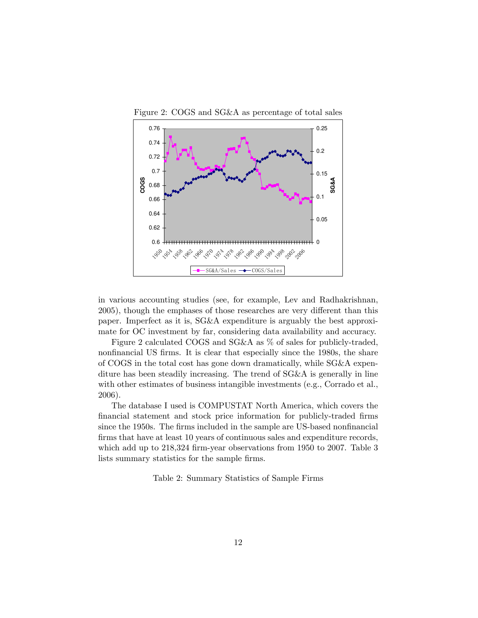

Figure 2: COGS and SG&A as percentage of total sales

in various accounting studies (see, for example, Lev and Radhakrishnan, 2005), though the emphases of those researches are very different than this paper. Imperfect as it is, SG&A expenditure is arguably the best approximate for OC investment by far, considering data availability and accuracy.

Figure 2 calculated COGS and SG&A as % of sales for publicly-traded, nonfinancial US firms. It is clear that especially since the 1980s, the share of COGS in the total cost has gone down dramatically, while SG&A expenditure has been steadily increasing. The trend of SG&A is generally in line with other estimates of business intangible investments (e.g., Corrado et al., 2006).

The database I used is COMPUSTAT North America, which covers the financial statement and stock price information for publicly-traded firms since the 1950s. The firms included in the sample are US-based nonfinancial firms that have at least 10 years of continuous sales and expenditure records, which add up to  $218,324$  firm-year observations from 1950 to 2007. Table 3 lists summary statistics for the sample firms.

Table 2: Summary Statistics of Sample Firms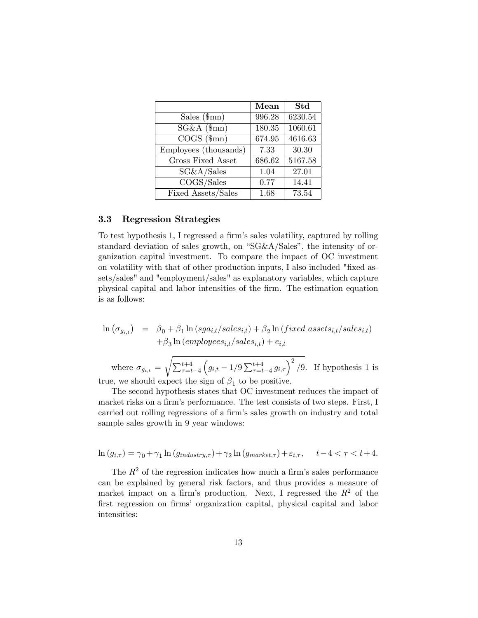|                                         | Mean   | <b>Std</b> |
|-----------------------------------------|--------|------------|
| Sales $(\text{\$mn})$                   | 996.28 | 6230.54    |
| $\overline{\text{SG}}\&\text{A}$ (\$mn) | 180.35 | 1060.61    |
| $COGS~(\$mn)$                           | 674.95 | 4616.63    |
| Employees (thousands)                   | 7.33   | 30.30      |
| Gross Fixed Asset                       | 686.62 | 5167.58    |
| SG&A/Sales                              | 1.04   | 27.01      |
| COGS/Sales                              | 0.77   | 14.41      |
| Fixed Assets/Sales                      | 1.68   | 73.54      |

#### 3.3 Regression Strategies

To test hypothesis 1, I regressed a firm's sales volatility, captured by rolling standard deviation of sales growth, on " $SG&A/Sales$ ", the intensity of organization capital investment. To compare the impact of OC investment on volatility with that of other production inputs, I also included "fixed assets/sales" and "employment/sales" as explanatory variables, which capture physical capital and labor intensities of the Örm. The estimation equation is as follows:

$$
\begin{array}{lcl} \ln \left( \sigma_{g_{i,t}} \right) & = & \beta_0 + \beta_1 \ln \left( sga_{i,t}/sales_{i,t} \right) + \beta_2 \ln \left( fixed \; assets_{i,t}/sales_{i,t} \right) \\ & & + \beta_3 \ln \left( employees_{i,t}/sales_{i,t} \right) + e_{i,t} \end{array}
$$

where  $\sigma_{g_{i,t}} =$  $\sqrt{\sum_{\tau=t-4}^{t+4}}$  $(g_{i,t} - 1/9 \sum_{\tau=t-4}^{t+4} g_{i,\tau})^2/9$ . If hypothesis 1 is true, we should expect the sign of  $\beta_1$  to be positive.

The second hypothesis states that OC investment reduces the impact of market risks on a firm's performance. The test consists of two steps. First, I carried out rolling regressions of a firm's sales growth on industry and total sample sales growth in 9 year windows:

$$
\ln (g_{i,\tau}) = \gamma_0 + \gamma_1 \ln (g_{industry,\tau}) + \gamma_2 \ln (g_{market,\tau}) + \varepsilon_{i,\tau}, \quad t - 4 < \tau < t + 4.
$$

The  $R<sup>2</sup>$  of the regression indicates how much a firm's sales performance can be explained by general risk factors, and thus provides a measure of market impact on a firm's production. Next, I regressed the  $R^2$  of the first regression on firms' organization capital, physical capital and labor intensities: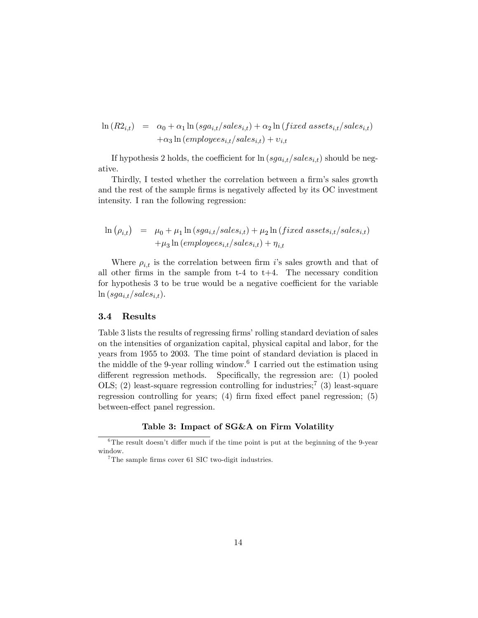$$
\ln(R2_{i,t}) = \alpha_0 + \alpha_1 \ln(sga_{i,t}/sales_{i,t}) + \alpha_2 \ln(fixed\ assets_{i,t}/sales_{i,t}) + \alpha_3 \ln(employes_{i,t}/sales_{i,t}) + v_{i,t}
$$

If hypothesis 2 holds, the coefficient for  $\ln (sga_{i,t}/sales_{i,t})$  should be negative.

Thirdly, I tested whether the correlation between a firm's sales growth and the rest of the sample firms is negatively affected by its OC investment intensity. I ran the following regression:

$$
\begin{array}{lcl} \ln \left( \rho_{i,t} \right) & = & \mu_0 + \mu_1 \ln \left( sga_{i,t}/sales_{i,t} \right) + \mu_2 \ln \left( fixed \; assets_{i,t}/sales_{i,t} \right) \\ & & + \mu_3 \ln \left( employees_{i,t}/sales_{i,t} \right) + \eta_{i,t} \end{array}
$$

Where  $\rho_{i,t}$  is the correlation between firm is sales growth and that of all other firms in the sample from  $t-4$  to  $t+4$ . The necessary condition for hypothesis 3 to be true would be a negative coefficient for the variable  $\ln (sga_{i,t}/sales_{i,t}).$ 

#### 3.4 Results

Table 3 lists the results of regressing firms' rolling standard deviation of sales on the intensities of organization capital, physical capital and labor, for the years from 1955 to 2003. The time point of standard deviation is placed in the middle of the 9-year rolling window.<sup>6</sup> I carried out the estimation using different regression methods. Specifically, the regression are: (1) pooled OLS;  $(2)$  least-square regression controlling for industries;<sup>7</sup>  $(3)$  least-square regression controlling for years;  $(4)$  firm fixed effect panel regression;  $(5)$ between-effect panel regression.

#### Table 3: Impact of SG&A on Firm Volatility

 $6$ The result doesn't differ much if the time point is put at the beginning of the 9-year window.

 $7$ The sample firms cover 61 SIC two-digit industries.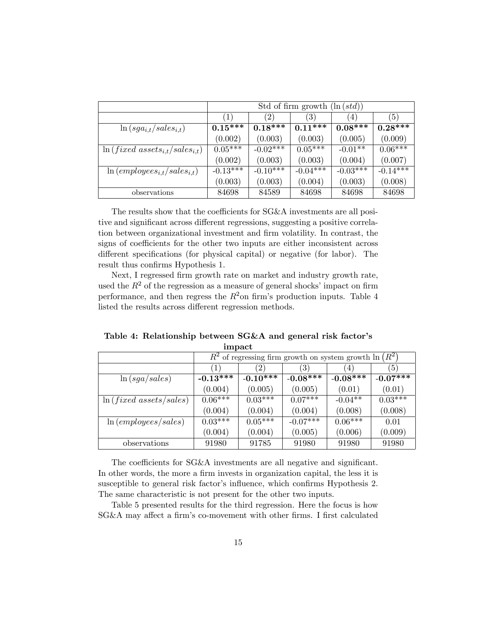|                                                         | Std of firm growth $(\ln (std))$ |                   |                  |            |            |  |  |
|---------------------------------------------------------|----------------------------------|-------------------|------------------|------------|------------|--|--|
|                                                         | (1)                              | $\left( 2\right)$ | $\left(3\right)$ | 4)         | (5)        |  |  |
| $\ln(sga_{i,t}/sales_{i,t})$                            | $0.15***$                        | $0.18***$         | $0.11***$        | $0.08***$  | $0.28***$  |  |  |
|                                                         | (0.002)                          | (0.003)           | (0.003)          | (0.005)    | (0.009)    |  |  |
| $\ln(fixed \ assets_{i,t}/sales_{i,t})$                 | $0.05***$                        | $-0.02***$        | $0.05***$        | $-0.01**$  | $0.06***$  |  |  |
|                                                         | (0.002)                          | (0.003)           | (0.003)          | (0.004)    | (0.007)    |  |  |
| $\ln$ (employees <sub>i,t</sub> /sales <sub>i,t</sub> ) | $-0.13***$                       | $-0.10***$        | $-0.04***$       | $-0.03***$ | $-0.14***$ |  |  |
|                                                         | (0.003)                          | (0.003)           | (0.004)          | (0.003)    | (0.008)    |  |  |
| observations                                            | 84698                            | 84589             | 84698            | 84698      | 84698      |  |  |

The results show that the coefficients for SG&A investments are all positive and significant across different regressions, suggesting a positive correlation between organizational investment and Örm volatility. In contrast, the signs of coefficients for the other two inputs are either inconsistent across different specifications (for physical capital) or negative (for labor). The result thus confirms Hypothesis 1.

Next, I regressed firm growth rate on market and industry growth rate, used the  $R^2$  of the regression as a measure of general shocks' impact on firm performance, and then regress the  $R^2$ on firm's production inputs. Table 4 listed the results across different regression methods.

Table 4: Relationship between SG&A and general risk factor's impact

|                              |              | $R^2$ of regressing firm growth on system growth $\ln \left(R^2\right)$ |                   |            |                  |  |  |  |
|------------------------------|--------------|-------------------------------------------------------------------------|-------------------|------------|------------------|--|--|--|
|                              | (1)          | (2)                                                                     | $\left( 3\right)$ | 4          | $\left(5\right)$ |  |  |  |
| $\ln(sga/sales)$             | $-0.13***$   | $-0.10***$                                                              | $-0.08***$        | $-0.08***$ | $-0.07***$       |  |  |  |
|                              | (0.004)      | (0.005)                                                                 | (0.005)           | (0.01)     | (0.01)           |  |  |  |
| $\ln(fixed \; assets/sales)$ | $0.06***$    | $0.03***$                                                               | $0.07***$         | $-0.04**$  | $0.03***$        |  |  |  |
|                              | (0.004)      | (0.004)                                                                 | (0.004)           | (0.008)    | (0.008)          |  |  |  |
| ln (employes/sales)          | $0.03*^{**}$ | $0.05***$                                                               | $-0.07***$        | $0.06***$  | 0.01             |  |  |  |
|                              | (0.004)      | (0.004)                                                                 | (0.005)           | (0.006)    | (0.009)          |  |  |  |
| observations                 | 91980        | 91785                                                                   | 91980             | 91980      | 91980            |  |  |  |

The coefficients for  $SG\&A$  investments are all negative and significant. In other words, the more a firm invests in organization capital, the less it is susceptible to general risk factor's influence, which confirms Hypothesis 2. The same characteristic is not present for the other two inputs.

Table 5 presented results for the third regression. Here the focus is how SG&A may affect a firm's co-movement with other firms. I first calculated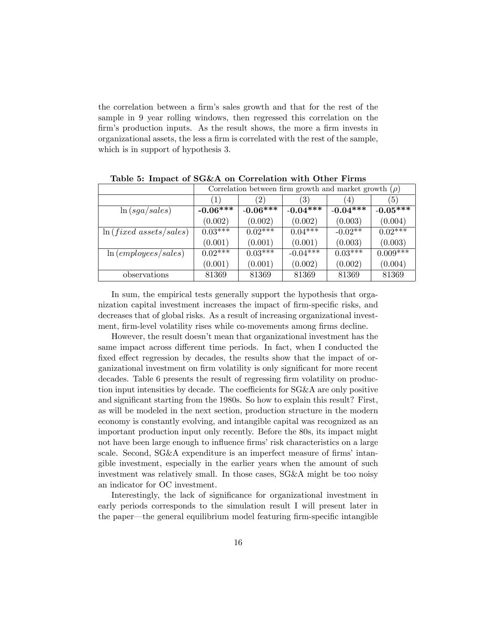the correlation between a firm's sales growth and that for the rest of the sample in 9 year rolling windows, then regressed this correlation on the firm's production inputs. As the result shows, the more a firm invests in organizational assets, the less a Örm is correlated with the rest of the sample, which is in support of hypothesis 3.

| $\sim$ $\sim$ $\sim$ $\sim$ $\sim$ $\sim$ |            |                                                            |                   |            |                  |  |  |  |  |
|-------------------------------------------|------------|------------------------------------------------------------|-------------------|------------|------------------|--|--|--|--|
|                                           |            | Correlation between firm growth and market growth $(\rho)$ |                   |            |                  |  |  |  |  |
|                                           | (1)        | $\left( 2\right)$                                          | $\left( 3\right)$ | 4)         | $\left(5\right)$ |  |  |  |  |
| $\ln(sga/sales)$                          | $-0.06***$ | $-0.06***$                                                 | $-0.04***$        | $-0.04***$ | $-0.05***$       |  |  |  |  |
|                                           | (0.002)    | (0.002)                                                    | (0.002)           | (0.003)    | (0.004)          |  |  |  |  |
| $\ln(fixed \; assets/sales)$              | $0.03***$  | $0.02***$                                                  | $0.04***$         | $-0.02**$  | $0.02***$        |  |  |  |  |
|                                           | (0.001)    | (0.001)                                                    | (0.001)           | (0.003)    | (0.003)          |  |  |  |  |
| ln (employes/sales)                       | $0.02***$  | $0.03***$                                                  | $-0.04***$        | $0.03***$  | $0.009***$       |  |  |  |  |
|                                           | (0.001)    | (0.001)                                                    | (0.002)           | (0.002)    | (0.004)          |  |  |  |  |
| observations                              | 81369      | 81369                                                      | 81369             | 81369      | 81369            |  |  |  |  |

Table 5: Impact of  $S G \& A$  on Correlation with Other Firms

In sum, the empirical tests generally support the hypothesis that organization capital investment increases the impact of firm-specific risks, and decreases that of global risks. As a result of increasing organizational investment, firm-level volatility rises while co-movements among firms decline.

However, the result doesnít mean that organizational investment has the same impact across different time periods. In fact, when I conducted the fixed effect regression by decades, the results show that the impact of organizational investment on firm volatility is only significant for more recent decades. Table 6 presents the result of regressing firm volatility on production input intensities by decade. The coefficients for  $SG\&A$  are only positive and significant starting from the 1980s. So how to explain this result? First, as will be modeled in the next section, production structure in the modern economy is constantly evolving, and intangible capital was recognized as an important production input only recently. Before the 80s, its impact might not have been large enough to influence firms' risk characteristics on a large scale. Second,  $SG\&A$  expenditure is an imperfect measure of firms' intangible investment, especially in the earlier years when the amount of such investment was relatively small. In those cases, SG&A might be too noisy an indicator for OC investment.

Interestingly, the lack of significance for organizational investment in early periods corresponds to the simulation result I will present later in the paper—the general equilibrium model featuring firm-specific intangible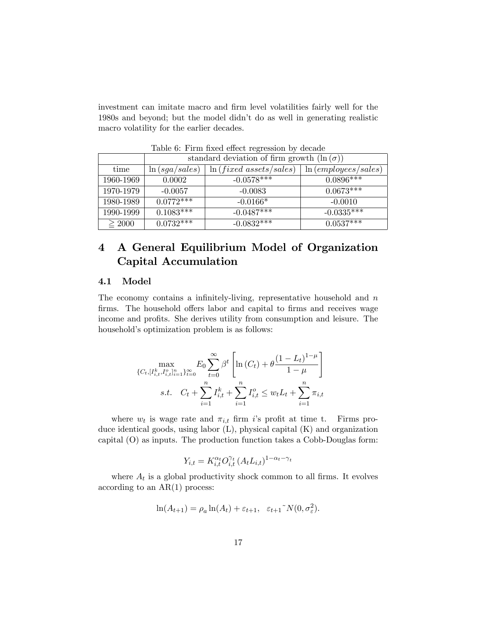investment can imitate macro and firm level volatilities fairly well for the 1980s and beyond; but the model didnít do as well in generating realistic macro volatility for the earlier decades.

|             |                  | standard deviation of firm growth $(\ln(\sigma))$ |                     |  |  |  |  |  |  |
|-------------|------------------|---------------------------------------------------|---------------------|--|--|--|--|--|--|
| time        | $\ln(sga/sales)$ | $\ln(fixed \; assets/sales)$                      | ln (employes/sales) |  |  |  |  |  |  |
| 1960-1969   | 0.0002           | $-0.0578***$                                      | $0.0896***$         |  |  |  |  |  |  |
| 1970-1979   | $-0.0057$        | $-0.0083$                                         | $0.0673***$         |  |  |  |  |  |  |
| 1980-1989   | $0.0772***$      | $-0.0166*$                                        | $-0.0010$           |  |  |  |  |  |  |
| 1990-1999   | $0.1083***$      | $-0.0487***$                                      | $-0.0335***$        |  |  |  |  |  |  |
| $\geq 2000$ | $0.0732***$      | $-0.0832*+1$                                      | $0.0537***$         |  |  |  |  |  |  |

Table 6: Firm fixed effect regression by decade

## 4 A General Equilibrium Model of Organization Capital Accumulation

#### 4.1 Model

The economy contains a infinitely-living, representative household and  $n$ firms. The household offers labor and capital to firms and receives wage income and profits. She derives utility from consumption and leisure. The household's optimization problem is as follows:

$$
\max_{\{C_t, [I_{i,t}^k, I_{i,t}^o]_{i=1}^n\}_{t=0}^\infty} E_0 \sum_{t=0}^\infty \beta^t \left[ \ln\left(C_t\right) + \theta \frac{\left(1 - L_t\right)^{1-\mu}}{1-\mu} \right]
$$
\n
$$
s.t. \quad C_t + \sum_{i=1}^n I_{i,t}^k + \sum_{i=1}^n I_{i,t}^o \le w_t L_t + \sum_{i=1}^n \pi_{i,t}
$$

where  $w_t$  is wage rate and  $\pi_{i,t}$  firm is profit at time t. Firms produce identical goods, using labor (L), physical capital (K) and organization capital (O) as inputs. The production function takes a Cobb-Douglas form:

$$
Y_{i,t} = K_{i,t}^{\alpha_t} O_{i,t}^{\gamma_t} (A_t L_{i,t})^{1-\alpha_t-\gamma_t}
$$

where  $A_t$  is a global productivity shock common to all firms. It evolves according to an  $AR(1)$  process:

$$
\ln(A_{t+1}) = \rho_a \ln(A_t) + \varepsilon_{t+1}, \quad \varepsilon_{t+1} \tilde{\;} N(0, \sigma_{\varepsilon}^2).
$$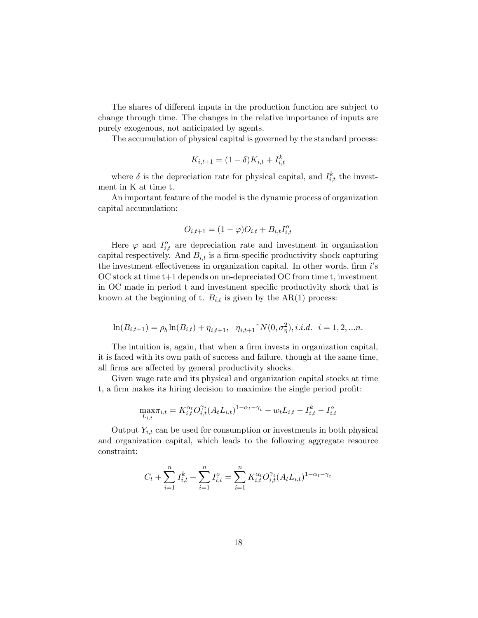The shares of different inputs in the production function are subject to change through time. The changes in the relative importance of inputs are purely exogenous, not anticipated by agents.

The accumulation of physical capital is governed by the standard process:

$$
K_{i,t+1} = (1 - \delta)K_{i,t} + I_{i,t}^k
$$

where  $\delta$  is the depreciation rate for physical capital, and  $I_{i,t}^k$  the investment in K at time t.

An important feature of the model is the dynamic process of organization capital accumulation:

$$
O_{i,t+1} = (1 - \varphi)O_{i,t} + B_{i,t}I_{i,t}^o
$$

Here  $\varphi$  and  $I_{i,t}^o$  are depreciation rate and investment in organization capital respectively. And  $B_{i,t}$  is a firm-specific productivity shock capturing the investment effectiveness in organization capital. In other words, firm  $i$ 's OC stock at time t+1 depends on un-depreciated OC from time t, investment in OC made in period t and investment specific productivity shock that is known at the beginning of t.  $B_{i,t}$  is given by the AR(1) process:

$$
\ln(B_{i,t+1}) = \rho_b \ln(B_{i,t}) + \eta_{i,t+1}, \quad \eta_{i,t+1} \sim N(0, \sigma_\eta^2), i.i.d. \quad i = 1, 2, \dots n.
$$

The intuition is, again, that when a firm invests in organization capital, it is faced with its own path of success and failure, though at the same time, all firms are affected by general productivity shocks.

Given wage rate and its physical and organization capital stocks at time t, a firm makes its hiring decision to maximize the single period profit:

$$
\max_{L_{i,t}} \pi_{i,t} = K_{i,t}^{\alpha_t} O_{i,t}^{\gamma_t} (A_t L_{i,t})^{1-\alpha_t-\gamma_t} - w_t L_{i,t} - I_{i,t}^k - I_{i,t}^o
$$

Output  $Y_{i,t}$  can be used for consumption or investments in both physical and organization capital, which leads to the following aggregate resource constraint:

$$
C_t + \sum_{i=1}^n I_{i,t}^k + \sum_{i=1}^n I_{i,t}^o = \sum_{i=1}^n K_{i,t}^{\alpha_t} O_{i,t}^{\gamma_t} (A_t L_{i,t})^{1-\alpha_t-\gamma_t}
$$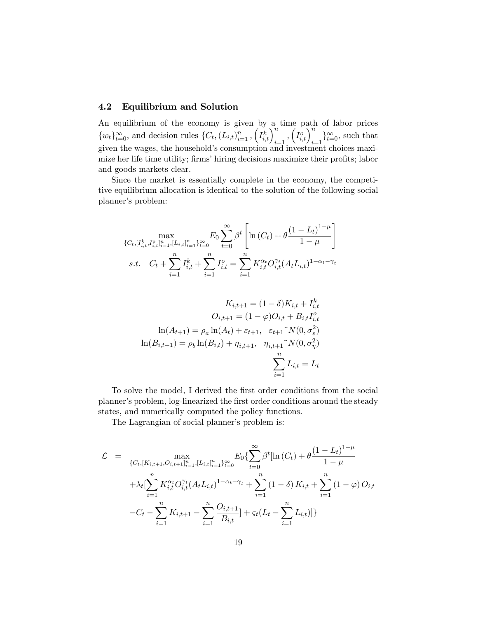#### 4.2 Equilibrium and Solution

An equilibrium of the economy is given by a time path of labor prices  ${w_t}_{t=0}^{\infty}$ , and decision rules  ${C_t, (L_{i,t})}_{i=1}^n, (I_{i,t}^k)_{i=1}^n, (I_{i,t}^o)_{i=1}^n$  and that given the wages, the household's consumption and investment choices maximize her life time utility; firms' hiring decisions maximize their profits; labor and goods markets clear.

Since the market is essentially complete in the economy, the competitive equilibrium allocation is identical to the solution of the following social planner's problem:

$$
\max_{\{C_t, [I_{i,t}^k, I_{i,t}^o]_{i=1}^n, [L_{i,t}^n]_{i=1}^n\}_{t=0}^\infty} E_0 \sum_{t=0}^\infty \beta^t \left[ \ln(C_t) + \theta \frac{(1 - L_t)^{1-\mu}}{1-\mu} \right]
$$
\ns.t.  $C_t + \sum_{i=1}^n I_{i,t}^k + \sum_{i=1}^n I_{i,t}^o = \sum_{i=1}^n K_{i,t}^{\alpha_t} O_{i,t}^{\gamma_t} (A_t L_{i,t})^{1-\alpha_t-\gamma_t}$ 

$$
K_{i,t+1} = (1 - \delta)K_{i,t} + I_{i,t}^k
$$

$$
O_{i,t+1} = (1 - \varphi)O_{i,t} + B_{i,t}I_{i,t}^o
$$

$$
\ln(A_{t+1}) = \rho_a \ln(A_t) + \varepsilon_{t+1}, \quad \varepsilon_{t+1} \tilde{\chi}(0, \sigma_{\varepsilon}^2)
$$

$$
\ln(B_{i,t+1}) = \rho_b \ln(B_{i,t}) + \eta_{i,t+1}, \quad \eta_{i,t+1} \tilde{\chi}(0, \sigma_{\eta}^2)
$$

$$
\sum_{i=1}^n L_{i,t} = L_t
$$

To solve the model, I derived the first order conditions from the social planner's problem, log-linearized the first order conditions around the steady states, and numerically computed the policy functions.

The Lagrangian of social planner's problem is:

$$
\mathcal{L} = \max_{\{C_t, [K_{i,t+1}, O_{i,t+1}]_{i=1}^n, [L_{i,t}]_{i=1}^n\}_{t=0}^\infty} E_0\left\{\sum_{t=0}^\infty \beta^t [\ln(C_t) + \theta \frac{(1 - L_t)^{1 - \mu}}{1 - \mu} + \lambda_t [\sum_{i=1}^n K_{i,t}^{\alpha_t} O_{i,t}^{\gamma_t} (A_t L_{i,t})^{1 - \alpha_t - \gamma_t} + \sum_{i=1}^n (1 - \delta) K_{i,t} + \sum_{i=1}^n (1 - \varphi) O_{i,t} - C_t - \sum_{i=1}^n K_{i,t+1} - \sum_{i=1}^n \frac{O_{i,t+1}}{B_{i,t}} + \varsigma_t (L_t - \sum_{i=1}^n L_{i,t})]\}
$$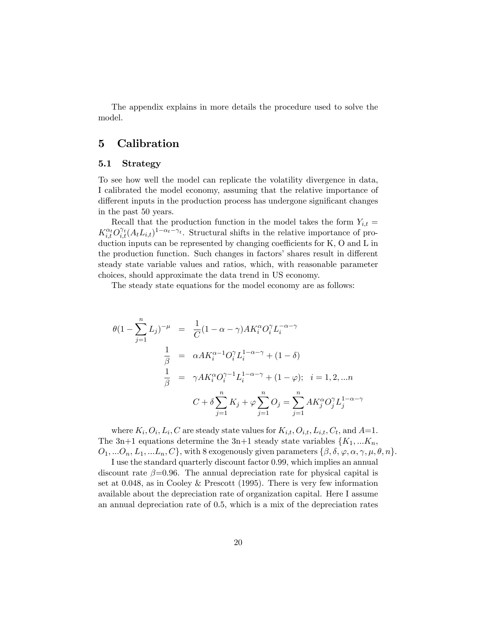The appendix explains in more details the procedure used to solve the model.

### 5 Calibration

#### 5.1 Strategy

To see how well the model can replicate the volatility divergence in data, I calibrated the model economy, assuming that the relative importance of different inputs in the production process has undergone significant changes in the past 50 years.

Recall that the production function in the model takes the form  $Y_{i,t} =$  $K_{i,t}^{\alpha_t} O_{i,t}^{\gamma_t}(A_t L_{i,t})^{1-\alpha_t-\gamma_t}$ . Structural shifts in the relative importance of production inputs can be represented by changing coefficients for  $K$ ,  $O$  and  $L$  in the production function. Such changes in factors' shares result in different steady state variable values and ratios, which, with reasonable parameter choices, should approximate the data trend in US economy.

The steady state equations for the model economy are as follows:

$$
\theta(1 - \sum_{j=1}^{n} L_j)^{-\mu} = \frac{1}{C} (1 - \alpha - \gamma) A K_i^{\alpha} O_i^{\gamma} L_i^{-\alpha - \gamma}
$$
  

$$
\frac{1}{\beta} = \alpha A K_i^{\alpha - 1} O_i^{\gamma} L_i^{1 - \alpha - \gamma} + (1 - \delta)
$$
  

$$
\frac{1}{\beta} = \gamma A K_i^{\alpha} O_i^{\gamma - 1} L_i^{1 - \alpha - \gamma} + (1 - \varphi); \quad i = 1, 2, \dots n
$$
  

$$
C + \delta \sum_{j=1}^{n} K_j + \varphi \sum_{j=1}^{n} O_j = \sum_{j=1}^{n} A K_j^{\alpha} O_j^{\gamma} L_j^{1 - \alpha - \gamma}
$$

where  $K_i, O_i, L_i, C$  are steady state values for  $K_{i,t}, O_{i,t}, L_{i,t}, C_t$ , and  $A=1$ . The 3n+1 equations determine the 3n+1 steady state variables  $\{K_1, \ldots K_n,$  $O_1, \ldots, O_n, L_1, \ldots, L_n, C\}$ , with 8 exogenously given parameters  $\{\beta, \delta, \varphi, \alpha, \gamma, \mu, \theta, n\}$ .

I use the standard quarterly discount factor 0.99, which implies an annual discount rate  $\beta = 0.96$ . The annual depreciation rate for physical capital is set at 0.048, as in Cooley & Prescott (1995). There is very few information available about the depreciation rate of organization capital. Here I assume an annual depreciation rate of 0.5, which is a mix of the depreciation rates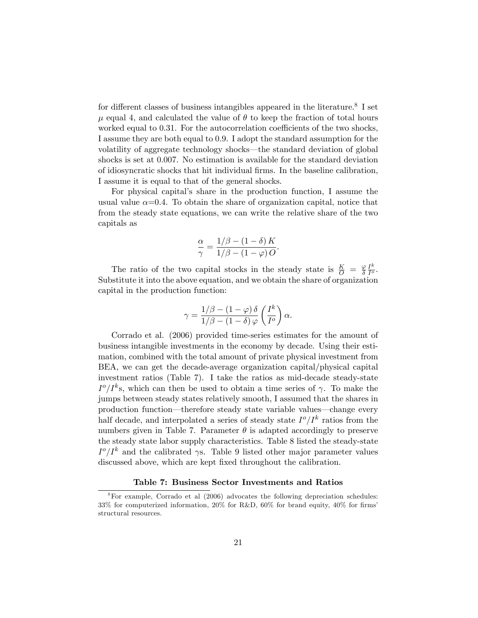for different classes of business intangibles appeared in the literature.<sup>8</sup> I set  $\mu$  equal 4, and calculated the value of  $\theta$  to keep the fraction of total hours worked equal to  $0.31$ . For the autocorrelation coefficients of the two shocks, I assume they are both equal to 0.9. I adopt the standard assumption for the volatility of aggregate technology shocks—the standard deviation of global shocks is set at 0.007. No estimation is available for the standard deviation of idiosyncratic shocks that hit individual Örms. In the baseline calibration, I assume it is equal to that of the general shocks.

For physical capital's share in the production function, I assume the usual value  $\alpha$ =0.4. To obtain the share of organization capital, notice that from the steady state equations, we can write the relative share of the two capitals as

$$
\frac{\alpha}{\gamma} = \frac{1/\beta - (1-\delta)K}{1/\beta - (1-\varphi)O}.
$$

The ratio of the two capital stocks in the steady state is  $\frac{K}{Q} = \frac{\varphi}{\delta}$  $I^k$  $rac{I^{\prime \prime }}{I^{\sigma }}$ . Substitute it into the above equation, and we obtain the share of organization capital in the production function:

$$
\gamma = \frac{1/\beta - (1 - \varphi) \delta}{1/\beta - (1 - \delta) \varphi} \left(\frac{I^k}{I^o}\right) \alpha.
$$

Corrado et al. (2006) provided time-series estimates for the amount of business intangible investments in the economy by decade. Using their estimation, combined with the total amount of private physical investment from BEA, we can get the decade-average organization capital/physical capital investment ratios (Table 7). I take the ratios as mid-decade steady-state  $I^o/I^k$ s, which can then be used to obtain a time series of  $\gamma$ . To make the jumps between steady states relatively smooth, I assumed that the shares in production function—therefore steady state variable values—change every half decade, and interpolated a series of steady state  $I^o/I^k$  ratios from the numbers given in Table 7. Parameter  $\theta$  is adapted accordingly to preserve the steady state labor supply characteristics. Table 8 listed the steady-state  $I^o/I^k$  and the calibrated  $\gamma$ s. Table 9 listed other major parameter values discussed above, which are kept fixed throughout the calibration.

#### Table 7: Business Sector Investments and Ratios

 $8$ For example, Corrado et al (2006) advocates the following depreciation schedules: 33% for computerized information,  $20\%$  for R&D,  $60\%$  for brand equity,  $40\%$  for firms' structural resources.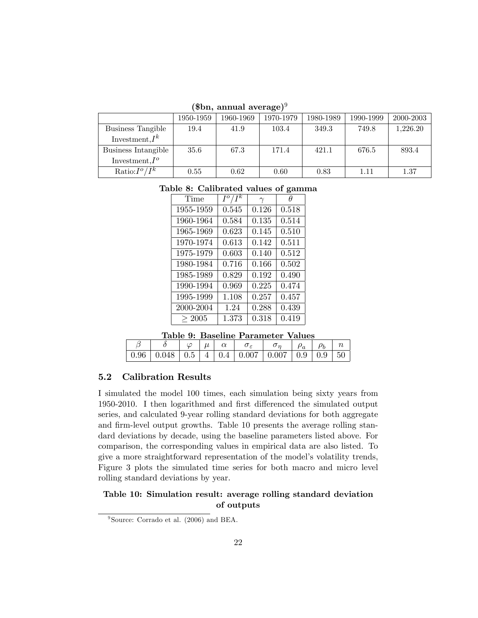|  |  | (\$bn, annual average) $9$ |
|--|--|----------------------------|
|--|--|----------------------------|

|                     | 1950-1959 | 1960-1969 | 1970-1979 | 1980-1989 | 1990-1999 | 2000-2003 |
|---------------------|-----------|-----------|-----------|-----------|-----------|-----------|
| Business Tangible   | 19.4      | 41.9      | 103.4     | 349.3     | 749.8     | 1,226.20  |
| Investment, $I^k$   |           |           |           |           |           |           |
| Business Intangible | $35.6\,$  | 67.3      | 171.4     | 421.1     | 676.5     | 893.4     |
| Investment. $I^o$   |           |           |           |           |           |           |
| Ratio: $I^o/I^k$    | 0.55      | 0.62      | 0.60      | 0.83      | 1.11      | 1.37      |

|  | Table 8: Calibrated values of gamma |  |  |  |
|--|-------------------------------------|--|--|--|
|--|-------------------------------------|--|--|--|

| Time      | $I^o$ | $\gamma$ | Ĥ     |
|-----------|-------|----------|-------|
| 1955-1959 | 0.545 | 0.126    | 0.518 |
| 1960-1964 | 0.584 | 0.135    | 0.514 |
| 1965-1969 | 0.623 | 0.145    | 0.510 |
| 1970-1974 | 0.613 | 0.142    | 0.511 |
| 1975-1979 | 0.603 | 0.140    | 0.512 |
| 1980-1984 | 0.716 | 0.166    | 0.502 |
| 1985-1989 | 0.829 | 0.192    | 0.490 |
| 1990-1994 | 0.969 | 0.225    | 0.474 |
| 1995-1999 | 1.108 | 0.257    | 0.457 |
| 2000-2004 | 1.24  | 0.288    | 0.439 |
| > 2005    | 1.373 | 0.318    | 0.419 |

Table 9: Baseline Parameter Values

|  |  |  | $\Box \varphi \mid \mu \mid \alpha \mid \sigma_{\varepsilon} \mid \sigma_{\eta} \mid \rho_{a} \mid \rho_{b} \mid n$ |  |  |
|--|--|--|---------------------------------------------------------------------------------------------------------------------|--|--|
|  |  |  | $0.96 \mid 0.048 \mid 0.5 \mid 4 \mid 0.4 \mid 0.007 \mid 0.007 \mid 0.9 \mid 0.9 \mid 50$                          |  |  |

#### 5.2 Calibration Results

I simulated the model 100 times, each simulation being sixty years from 1950-2010. I then logarithmed and first differenced the simulated output series, and calculated 9-year rolling standard deviations for both aggregate and firm-level output growths. Table 10 presents the average rolling standard deviations by decade, using the baseline parameters listed above. For comparison, the corresponding values in empirical data are also listed. To give a more straightforward representation of the model's volatility trends, Figure 3 plots the simulated time series for both macro and micro level rolling standard deviations by year.

#### Table 10: Simulation result: average rolling standard deviation of outputs

<sup>9</sup> Source: Corrado et al. (2006) and BEA.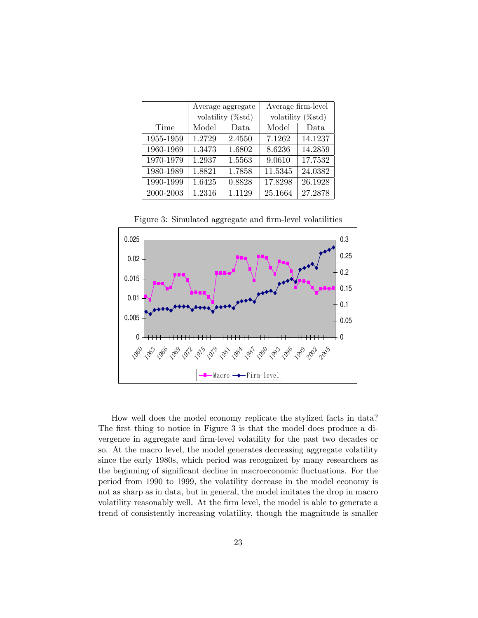|           |        | Average aggregate            | Average firm-level           |         |  |
|-----------|--------|------------------------------|------------------------------|---------|--|
|           |        | volatility $(\% \text{std})$ | volatility $(\% \text{std})$ |         |  |
| Time      | Model  | Data                         | Model                        | Data    |  |
| 1955-1959 | 1.2729 | 2.4550                       | 7.1262                       | 14.1237 |  |
| 1960-1969 | 1.3473 | 1.6802                       | 8.6236                       | 14.2859 |  |
| 1970-1979 | 1.2937 | 1.5563                       | 9.0610                       | 17.7532 |  |
| 1980-1989 | 1.8821 | 1.7858                       | 11.5345                      | 24.0382 |  |
| 1990-1999 | 1.6425 | 0.8828                       | 17.8298                      | 26.1928 |  |
| 2000-2003 | 1.2316 | 1.1129                       | 25.1664                      | 27.2878 |  |

0 0.005 0.01 0.015 0.02 0.025 1960 1963 1966 1969 1972 1976  $\Diamond$  $\phi$ **1984**  $\alpha$ 1990  $\mathcal{S}$ 1996 1999 2002 ~ 2005 0 0.05 0.1 0.15 0.2 0.25 0.3 Macro -- Firm-level

Figure 3: Simulated aggregate and firm-level volatilities

How well does the model economy replicate the stylized facts in data? The first thing to notice in Figure 3 is that the model does produce a divergence in aggregate and firm-level volatility for the past two decades or so. At the macro level, the model generates decreasing aggregate volatility since the early 1980s, which period was recognized by many researchers as the beginning of significant decline in macroeconomic fluctuations. For the period from 1990 to 1999, the volatility decrease in the model economy is not as sharp as in data, but in general, the model imitates the drop in macro volatility reasonably well. At the firm level, the model is able to generate a trend of consistently increasing volatility, though the magnitude is smaller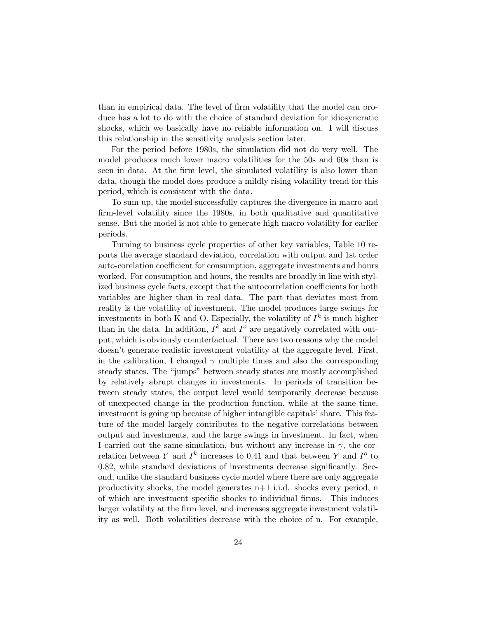than in empirical data. The level of firm volatility that the model can produce has a lot to do with the choice of standard deviation for idiosyncratic shocks, which we basically have no reliable information on. I will discuss this relationship in the sensitivity analysis section later.

For the period before 1980s, the simulation did not do very well. The model produces much lower macro volatilities for the 50s and 60s than is seen in data. At the firm level, the simulated volatility is also lower than data, though the model does produce a mildly rising volatility trend for this period, which is consistent with the data.

To sum up, the model successfully captures the divergence in macro and firm-level volatility since the 1980s, in both qualitative and quantitative sense. But the model is not able to generate high macro volatility for earlier periods.

Turning to business cycle properties of other key variables, Table 10 reports the average standard deviation, correlation with output and 1st order auto-corelation coefficient for consumption, aggregate investments and hours worked. For consumption and hours, the results are broadly in line with stylized business cycle facts, except that the autocorrelation coefficients for both variables are higher than in real data. The part that deviates most from reality is the volatility of investment. The model produces large swings for investments in both K and O. Especially, the volatility of  $I^k$  is much higher than in the data. In addition,  $I^k$  and  $I^o$  are negatively correlated with output, which is obviously counterfactual. There are two reasons why the model doesnít generate realistic investment volatility at the aggregate level. First, in the calibration, I changed  $\gamma$  multiple times and also the corresponding steady states. The "jumps" between steady states are mostly accomplished by relatively abrupt changes in investments. In periods of transition between steady states, the output level would temporarily decrease because of unexpected change in the production function, while at the same time, investment is going up because of higher intangible capitals' share. This feature of the model largely contributes to the negative correlations between output and investments, and the large swings in investment. In fact, when I carried out the same simulation, but without any increase in  $\gamma$ , the correlation between Y and  $I^k$  increases to 0.41 and that between Y and  $I^o$  to  $0.82$ , while standard deviations of investments decrease significantly. Second, unlike the standard business cycle model where there are only aggregate productivity shocks, the model generates n+1 i.i.d. shocks every period, n of which are investment speciÖc shocks to individual Örms. This induces larger volatility at the firm level, and increases aggregate investment volatility as well. Both volatilities decrease with the choice of n. For example,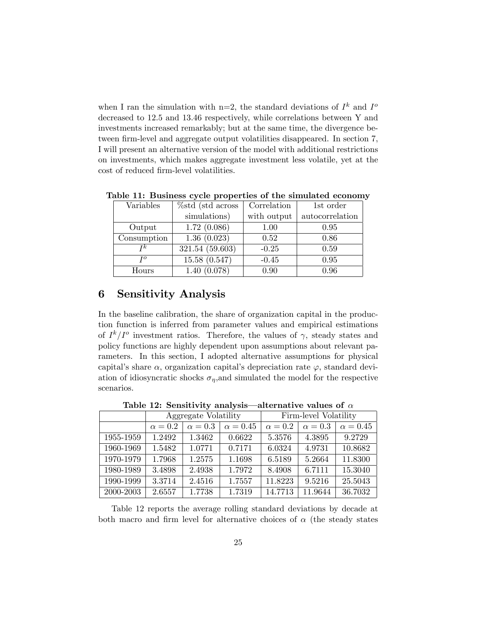when I ran the simulation with n=2, the standard deviations of  $I^k$  and  $I^o$ decreased to 12.5 and 13.46 respectively, while correlations between Y and investments increased remarkably; but at the same time, the divergence between firm-level and aggregate output volatilities disappeared. In section 7, I will present an alternative version of the model with additional restrictions on investments, which makes aggregate investment less volatile, yet at the cost of reduced firm-level volatilities.

| Variables   | %std (std across) | Correlation | 1st order       |
|-------------|-------------------|-------------|-----------------|
|             | simulations)      | with output | autocorrelation |
| Output      | 1.72(0.086)       | 1.00        | 0.95            |
| Consumption | 1.36(0.023)       | 0.52        | 0.86            |
| Тk          | 321.54(59.603)    | $-0.25$     | 0.59            |
| TO          | 15.58(0.547)      | $-0.45$     | 0.95            |
| Hours       | 1.40(0.078)       | 0.90        | 0.96            |

Table 11: Business cycle properties of the simulated economy

## 6 Sensitivity Analysis

In the baseline calibration, the share of organization capital in the production function is inferred from parameter values and empirical estimations of  $I^k/I^o$  investment ratios. Therefore, the values of  $\gamma$ , steady states and policy functions are highly dependent upon assumptions about relevant parameters. In this section, I adopted alternative assumptions for physical capital's share  $\alpha$ , organization capital's depreciation rate  $\varphi$ , standard deviation of idiosyncratic shocks  $\sigma_{\eta}$ , and simulated the model for the respective scenarios.

Table 12: Sensitivity analysis—alternative values of  $\alpha$ 

|           | Aggregate Volatility |              | Firm-level Volatility |                |                |                 |
|-----------|----------------------|--------------|-----------------------|----------------|----------------|-----------------|
|           | $\alpha=0.2$         | $\alpha=0.3$ | $\alpha = 0.45$       | $\alpha = 0.2$ | $\alpha = 0.3$ | $\alpha = 0.45$ |
| 1955-1959 | 1.2492               | 1.3462       | 0.6622                | 5.3576         | 4.3895         | 9.2729          |
| 1960-1969 | 1.5482               | 1.0771       | 0.7171                | 6.0324         | 4.9731         | 10.8682         |
| 1970-1979 | 1.7968               | 1.2575       | 1.1698                | 6.5189         | 5.2664         | 11.8300         |
| 1980-1989 | 3.4898               | 2.4938       | 1.7972                | 8.4908         | 6.7111         | 15.3040         |
| 1990-1999 | 3.3714               | 2.4516       | 1.7557                | 11.8223        | 9.5216         | 25.5043         |
| 2000-2003 | 2.6557               | 1.7738       | 1.7319                | 14.7713        | 11.9644        | 36.7032         |

Table 12 reports the average rolling standard deviations by decade at both macro and firm level for alternative choices of  $\alpha$  (the steady states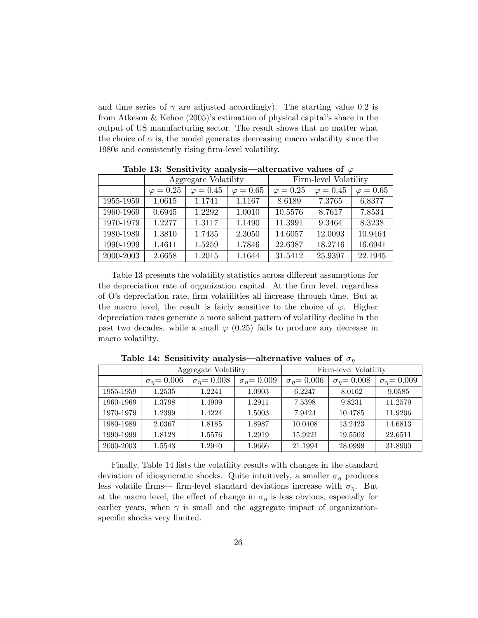and time series of  $\gamma$  are adjusted accordingly). The starting value 0.2 is from Atkeson & Kehoe  $(2005)$ 's estimation of physical capital's share in the output of US manufacturing sector. The result shows that no matter what the choice of  $\alpha$  is, the model generates decreasing macro volatility since the 1980s and consistently rising firm-level volatility.

| $\texttt{1} \texttt{1} \texttt{2} \texttt{3} \texttt{5} \texttt{6} \texttt{1} \texttt{2} \texttt{1} \texttt{3} \texttt{1} \texttt{5} \texttt{1} \texttt{7} \texttt{1} \texttt{8} \texttt{1} \texttt{1} \texttt{1} \texttt{1} \texttt{1} \texttt{1} \texttt{1} \texttt{1} \texttt{1} \texttt{1} \texttt{1} \texttt{1} \texttt{1} \texttt{1} \texttt{1} \texttt{1} \texttt{1} \texttt{1} \texttt{1} \texttt{1} \texttt{$ |                      |                  |                  |                       |                  |                  |
|------------------------------------------------------------------------------------------------------------------------------------------------------------------------------------------------------------------------------------------------------------------------------------------------------------------------------------------------------------------------------------------------------------------------|----------------------|------------------|------------------|-----------------------|------------------|------------------|
|                                                                                                                                                                                                                                                                                                                                                                                                                        | Aggregate Volatility |                  |                  | Firm-level Volatility |                  |                  |
|                                                                                                                                                                                                                                                                                                                                                                                                                        | $\varphi = 0.25$     | $\varphi = 0.45$ | $\varphi = 0.65$ | $\varphi = 0.25$      | $\varphi = 0.45$ | $\varphi = 0.65$ |
| 1955-1959                                                                                                                                                                                                                                                                                                                                                                                                              | 1.0615               | 1.1741           | 1.1167           | 8.6189                | 7.3765           | 6.8377           |
| 1960-1969                                                                                                                                                                                                                                                                                                                                                                                                              | 0.6945               | 1.2292           | 1.0010           | 10.5576               | 8.7617           | 7.8534           |
| 1970-1979                                                                                                                                                                                                                                                                                                                                                                                                              | 1.2277               | 1.3117           | 1.1490           | 11.3991               | 9.3464           | 8.3238           |
| 1980-1989                                                                                                                                                                                                                                                                                                                                                                                                              | 1.3810               | 1.7435           | 2.3050           | 14.6057               | 12.0093          | 10.9464          |
| 1990-1999                                                                                                                                                                                                                                                                                                                                                                                                              | 1.4611               | 1.5259           | 1.7846           | 22.6387               | 18.2716          | 16.6941          |
| 2000-2003                                                                                                                                                                                                                                                                                                                                                                                                              | 2.6658               | 1.2015           | 1.1644           | 31.5412               | 25.9397          | 22.1945          |

Table 13: Sensitivity analysis—alternative values of  $\varnothing$ 

Table 13 presents the volatility statistics across different assumptions for the depreciation rate of organization capital. At the firm level, regardless of Oís depreciation rate, Örm volatilities all increase through time. But at the macro level, the result is fairly sensitive to the choice of  $\varphi$ . Higher depreciation rates generate a more salient pattern of volatility decline in the past two decades, while a small  $\varphi$  (0.25) fails to produce any decrease in macro volatility.

|           | Aggregate Volatility    |                         | Firm-level Volatility |                         |                         |                         |
|-----------|-------------------------|-------------------------|-----------------------|-------------------------|-------------------------|-------------------------|
|           | $\sigma_{\eta} = 0.006$ | $\sigma_{\eta} = 0.008$ | $\sigma_n = 0.009$    | $\sigma_{\eta} = 0.006$ | $\sigma_{\eta} = 0.008$ | $\sigma_{\eta} = 0.009$ |
| 1955-1959 | 1.2535                  | 1.2241                  | 1.0903                | 6.2247                  | 8.0162                  | 9.0585                  |
| 1960-1969 | 1.3798                  | 1.4909                  | 1.2911                | 7.5398                  | 9.8231                  | 11.2579                 |
| 1970-1979 | 1.2399                  | 1.4224                  | 1.5003                | 7.9424                  | 10.4785                 | 11.9206                 |
| 1980-1989 | 2.0367                  | 1.8185                  | 1.8987                | 10.0408                 | 13.2423                 | 14.6813                 |
| 1990-1999 | 1.8128                  | 1.5576                  | 1.2919                | 15.9221                 | 19.5503                 | 22.6511                 |
| 2000-2003 | 1.5543                  | 1.2940                  | 1.9666                | 21.1994                 | 28.0999                 | 31.8900                 |

Table 14: Sensitivity analysis—alternative values of  $\sigma_{\eta}$ 

Finally, Table 14 lists the volatility results with changes in the standard deviation of idiosyncratic shocks. Quite intuitively, a smaller  $\sigma_{\eta}$  produces less volatile firms— firm-level standard deviations increase with  $\sigma_{\eta}$ . But at the macro level, the effect of change in  $\sigma_{\eta}$  is less obvious, especially for earlier years, when  $\gamma$  is small and the aggregate impact of organizationspecific shocks very limited.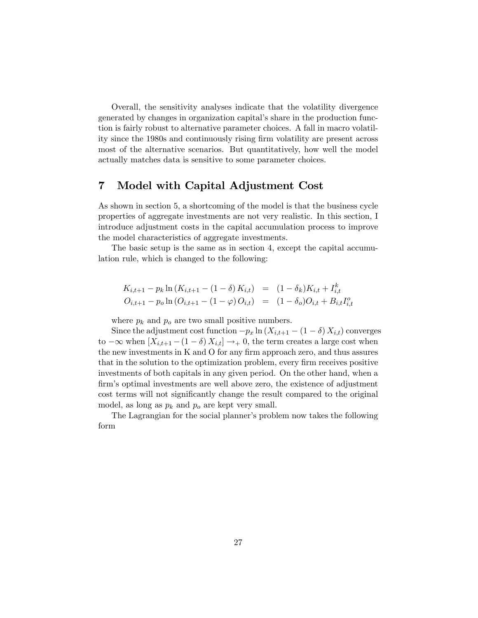Overall, the sensitivity analyses indicate that the volatility divergence generated by changes in organization capitalís share in the production function is fairly robust to alternative parameter choices. A fall in macro volatility since the 1980s and continuously rising Örm volatility are present across most of the alternative scenarios. But quantitatively, how well the model actually matches data is sensitive to some parameter choices.

## 7 Model with Capital Adjustment Cost

As shown in section 5, a shortcoming of the model is that the business cycle properties of aggregate investments are not very realistic. In this section, I introduce adjustment costs in the capital accumulation process to improve the model characteristics of aggregate investments.

The basic setup is the same as in section 4, except the capital accumulation rule, which is changed to the following:

$$
K_{i,t+1} - p_k \ln(K_{i,t+1} - (1 - \delta) K_{i,t}) = (1 - \delta_k) K_{i,t} + I_{i,t}^k
$$
  

$$
O_{i,t+1} - p_o \ln(O_{i,t+1} - (1 - \varphi) O_{i,t}) = (1 - \delta_o) O_{i,t} + B_{i,t} I_{i,t}^o
$$

where  $p_k$  and  $p_o$  are two small positive numbers.

Since the adjustment cost function  $-p_x \ln(X_{i,t+1} - (1 - \delta) X_{i,t})$  converges to  $-\infty$  when  $[X_{i,t+1} - (1 - \delta) X_{i,t}] \rightarrow 0$ , the term creates a large cost when the new investments in K and O for any firm approach zero, and thus assures that in the solution to the optimization problem, every firm receives positive investments of both capitals in any given period. On the other hand, when a firm's optimal investments are well above zero, the existence of adjustment cost terms will not significantly change the result compared to the original model, as long as  $p_k$  and  $p_o$  are kept very small.

The Lagrangian for the social planner's problem now takes the following form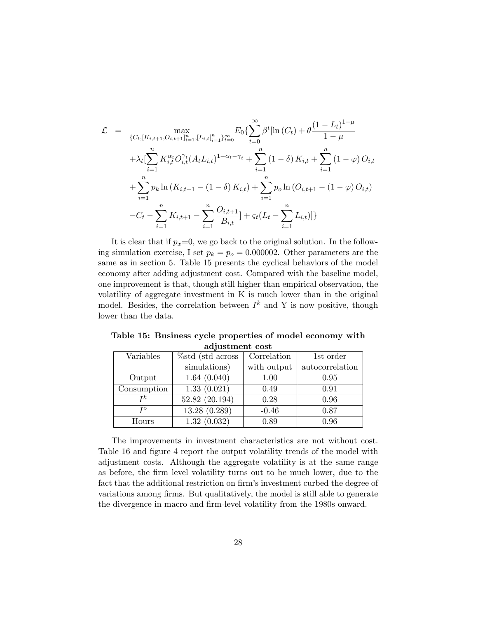$$
\mathcal{L} = \max_{\{C_{t}, [K_{i,t+1}, O_{i,t+1}]_{i=1}^{n}, [L_{i,t}]_{i=1}^{n}\}_{t=0}^{\infty}} E_{0} \{ \sum_{t=0}^{\infty} \beta^{t} [\ln(C_{t}) + \theta \frac{(1 - L_{t})^{1 - \mu}}{1 - \mu} + \lambda_{t} [\sum_{i=1}^{n} K_{i,t}^{\alpha_{t}} O_{i,t}^{\gamma_{t}} (A_{t} L_{i,t})^{1 - \alpha_{t} - \gamma_{t}} + \sum_{i=1}^{n} (1 - \delta) K_{i,t} + \sum_{i=1}^{n} (1 - \varphi) O_{i,t} + \sum_{i=1}^{n} p_{k} \ln(K_{i,t+1} - (1 - \delta) K_{i,t}) + \sum_{i=1}^{n} p_{o} \ln(O_{i,t+1} - (1 - \varphi) O_{i,t}) - C_{t} - \sum_{i=1}^{n} K_{i,t+1} - \sum_{i=1}^{n} \frac{O_{i,t+1}}{B_{i,t}} + \varsigma_{t} (L_{t} - \sum_{i=1}^{n} L_{i,t}) ] \}
$$

It is clear that if  $p_x=0$ , we go back to the original solution. In the following simulation exercise, I set  $p_k = p_o = 0.000002$ . Other parameters are the same as in section 5. Table 15 presents the cyclical behaviors of the model economy after adding adjustment cost. Compared with the baseline model, one improvement is that, though still higher than empirical observation, the volatility of aggregate investment in K is much lower than in the original model. Besides, the correlation between  $I^k$  and Y is now positive, though lower than the data.

Table 15: Business cycle properties of model economy with adjustment cost

| Variables   | $%$ std (std across | Correlation | 1st order       |
|-------------|---------------------|-------------|-----------------|
|             | simulations)        | with output | autocorrelation |
| Output      | 1.64(0.040)         | 1.00        | 0.95            |
| Consumption | 1.33(0.021)         | 0.49        | 0.91            |
| Тk          | 52.82 (20.194)      | 0.28        | 0.96            |
| TO          | 13.28(0.289)        | $-0.46$     | 0.87            |
| Hours       | 1.32(0.032)         | 0.89        | 0.96            |

The improvements in investment characteristics are not without cost. Table 16 and figure 4 report the output volatility trends of the model with adjustment costs. Although the aggregate volatility is at the same range as before, the Örm level volatility turns out to be much lower, due to the fact that the additional restriction on firm's investment curbed the degree of variations among firms. But qualitatively, the model is still able to generate the divergence in macro and firm-level volatility from the 1980s onward.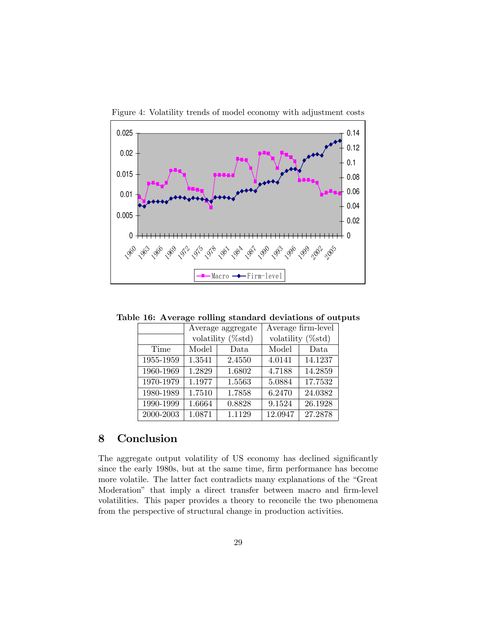

Figure 4: Volatility trends of model economy with adjustment costs

Table 16: Average rolling standard deviations of outputs

|           |                              | Average aggregate | Average firm-level           |         |  |
|-----------|------------------------------|-------------------|------------------------------|---------|--|
|           | volatility $(\% \text{std})$ |                   | volatility $(\% \text{std})$ |         |  |
| Time      | Model                        | Data              | Model                        | Data    |  |
| 1955-1959 | 1.3541                       | 2.4550            | 4.0141                       | 14.1237 |  |
| 1960-1969 | 1.2829                       | 1.6802            | 4.7188                       | 14.2859 |  |
| 1970-1979 | 1.1977                       | 1.5563            | 5.0884                       | 17.7532 |  |
| 1980-1989 | 1.7510                       | 1.7858            | 6.2470                       | 24.0382 |  |
| 1990-1999 | 1.6664                       | 0.8828            | 9.1524                       | 26.1928 |  |
| 2000-2003 | 1.0871                       | 1.1129            | 12.0947                      | 27.2878 |  |

## 8 Conclusion

The aggregate output volatility of US economy has declined significantly since the early 1980s, but at the same time, firm performance has become more volatile. The latter fact contradicts many explanations of the "Great Moderation" that imply a direct transfer between macro and firm-level volatilities. This paper provides a theory to reconcile the two phenomena from the perspective of structural change in production activities.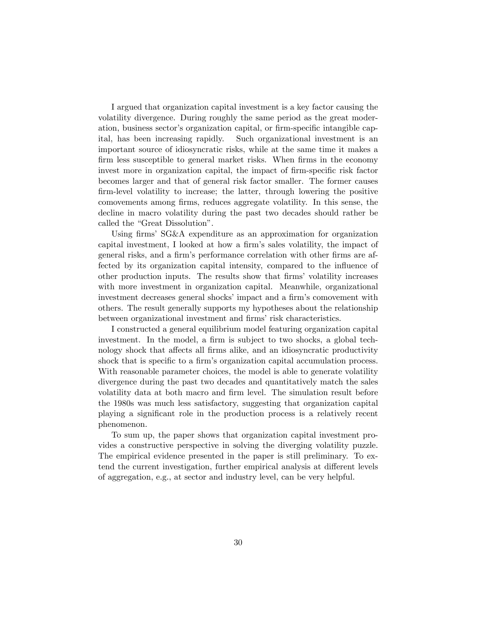I argued that organization capital investment is a key factor causing the volatility divergence. During roughly the same period as the great moderation, business sector's organization capital, or firm-specific intangible capital, has been increasing rapidly. Such organizational investment is an important source of idiosyncratic risks, while at the same time it makes a firm less susceptible to general market risks. When firms in the economy invest more in organization capital, the impact of firm-specific risk factor becomes larger and that of general risk factor smaller. The former causes firm-level volatility to increase; the latter, through lowering the positive comovements among Örms, reduces aggregate volatility. In this sense, the decline in macro volatility during the past two decades should rather be called the "Great Dissolution".

Using firms' SG&A expenditure as an approximation for organization capital investment, I looked at how a firm's sales volatility, the impact of general risks, and a firm's performance correlation with other firms are affected by its organization capital intensity, compared to the influence of other production inputs. The results show that Örmsí volatility increases with more investment in organization capital. Meanwhile, organizational investment decreases general shocks' impact and a firm's comovement with others. The result generally supports my hypotheses about the relationship between organizational investment and firms' risk characteristics.

I constructed a general equilibrium model featuring organization capital investment. In the model, a firm is subject to two shocks, a global technology shock that affects all firms alike, and an idiosyncratic productivity shock that is specific to a firm's organization capital accumulation process. With reasonable parameter choices, the model is able to generate volatility divergence during the past two decades and quantitatively match the sales volatility data at both macro and firm level. The simulation result before the 1980s was much less satisfactory, suggesting that organization capital playing a signiÖcant role in the production process is a relatively recent phenomenon.

To sum up, the paper shows that organization capital investment provides a constructive perspective in solving the diverging volatility puzzle. The empirical evidence presented in the paper is still preliminary. To extend the current investigation, further empirical analysis at different levels of aggregation, e.g., at sector and industry level, can be very helpful.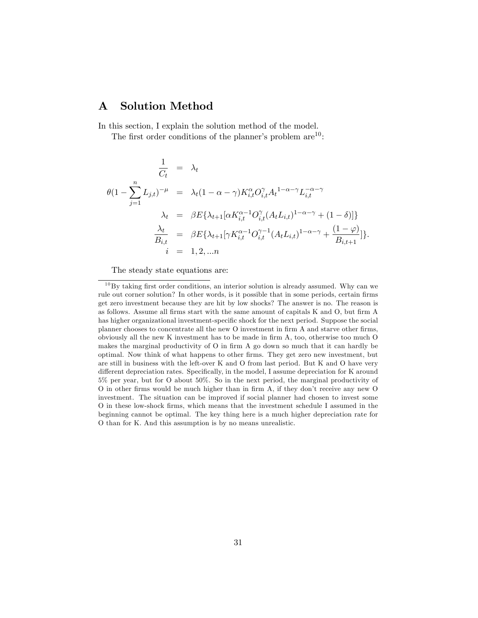## A Solution Method

In this section, I explain the solution method of the model.

The first order conditions of the planner's problem  $are^{10}$ :

$$
\frac{1}{C_t} = \lambda_t
$$
\n
$$
\theta(1 - \sum_{j=1}^n L_{j,t})^{-\mu} = \lambda_t (1 - \alpha - \gamma) K_{i,t}^{\alpha} O_{i,t}^{\gamma} A_t^{1 - \alpha - \gamma} L_{i,t}^{-\alpha - \gamma}
$$
\n
$$
\lambda_t = \beta E\{\lambda_{t+1} [\alpha K_{i,t}^{\alpha - 1} O_{i,t}^{\gamma} (A_t L_{i,t})^{1 - \alpha - \gamma} + (1 - \delta)]\}
$$
\n
$$
\frac{\lambda_t}{B_{i,t}} = \beta E\{\lambda_{t+1} [\gamma K_{i,t}^{\alpha - 1} O_{i,t}^{\gamma - 1} (A_t L_{i,t})^{1 - \alpha - \gamma} + \frac{(1 - \varphi)}{B_{i,t+1}}]\}.
$$

The steady state equations are:

 $10$  By taking first order conditions, an interior solution is already assumed. Why can we rule out corner solution? In other words, is it possible that in some periods, certain firms get zero investment because they are hit by low shocks? The answer is no. The reason is as follows. Assume all firms start with the same amount of capitals K and O, but firm A has higher organizational investment-specific shock for the next period. Suppose the social planner chooses to concentrate all the new O investment in firm A and starve other firms, obviously all the new K investment has to be made in firm  $A$ , too, otherwise too much  $O$ makes the marginal productivity of  $O$  in firm A go down so much that it can hardly be optimal. Now think of what happens to other Örms. They get zero new investment, but are still in business with the left-over K and O from last period. But K and O have very different depreciation rates. Specifically, in the model, I assume depreciation for K around 5% per year, but for O about 50%. So in the next period, the marginal productivity of O in other firms would be much higher than in firm A, if they don't receive any new O investment. The situation can be improved if social planner had chosen to invest some O in these low-shock Örms, which means that the investment schedule I assumed in the beginning cannot be optimal. The key thing here is a much higher depreciation rate for O than for K. And this assumption is by no means unrealistic.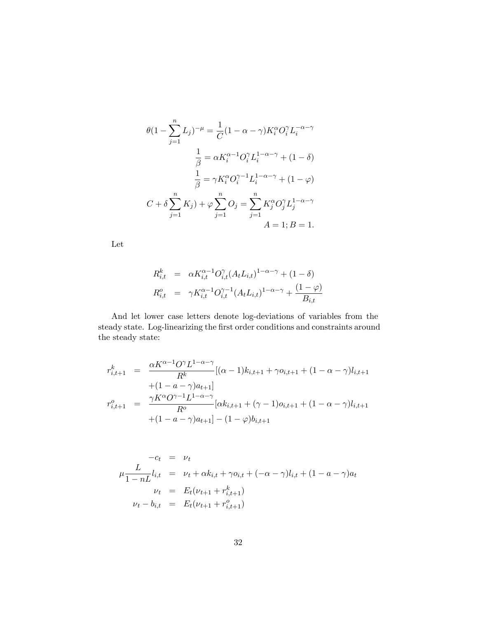$$
\theta(1 - \sum_{j=1}^{n} L_j)^{-\mu} = \frac{1}{C} (1 - \alpha - \gamma) K_i^{\alpha} O_i^{\gamma} L_i^{-\alpha - \gamma}
$$

$$
\frac{1}{\beta} = \alpha K_i^{\alpha - 1} O_i^{\gamma} L_i^{1 - \alpha - \gamma} + (1 - \delta)
$$

$$
\frac{1}{\beta} = \gamma K_i^{\alpha} O_i^{\gamma - 1} L_i^{1 - \alpha - \gamma} + (1 - \varphi)
$$

$$
C + \delta \sum_{j=1}^{n} K_j + \varphi \sum_{j=1}^{n} O_j = \sum_{j=1}^{n} K_j^{\alpha} O_j^{\gamma} L_j^{1 - \alpha - \gamma}
$$

$$
A = 1; B = 1.
$$

Let

$$
R_{i,t}^{k} = \alpha K_{i,t}^{\alpha-1} O_{i,t}^{\gamma} (A_t L_{i,t})^{1-\alpha-\gamma} + (1-\delta)
$$
  

$$
R_{i,t}^o = \gamma K_{i,t}^{\alpha-1} O_{i,t}^{\gamma-1} (A_t L_{i,t})^{1-\alpha-\gamma} + \frac{(1-\varphi)}{B_{i,t}}
$$

And let lower case letters denote log-deviations of variables from the steady state. Log-linearizing the Örst order conditions and constraints around the steady state:

$$
r_{i,t+1}^k = \frac{\alpha K^{\alpha-1} O^\gamma L^{1-\alpha-\gamma}}{R^k} [(\alpha-1)k_{i,t+1} + \gamma o_{i,t+1} + (1-\alpha-\gamma)l_{i,t+1} + (1-\alpha-\gamma)l_{i,t+1} + (1-\alpha-\gamma)a_{t+1}]
$$
  

$$
r_{i,t+1}^o = \frac{\gamma K^\alpha O^{\gamma-1} L^{1-\alpha-\gamma}}{R^o} [\alpha k_{i,t+1} + (\gamma-1) o_{i,t+1} + (1-\alpha-\gamma)l_{i,t+1} + (1-\alpha-\gamma)l_{i,t+1} + (1-\alpha-\gamma)a_{t+1}] - (1-\varphi)b_{i,t+1}
$$

$$
-c_t = \nu_t
$$
  
\n
$$
\mu \frac{L}{1 - nL} l_{i,t} = \nu_t + \alpha k_{i,t} + \gamma o_{i,t} + (-\alpha - \gamma) l_{i,t} + (1 - a - \gamma) a_t
$$
  
\n
$$
\nu_t = E_t(\nu_{t+1} + r_{i,t+1}^k)
$$
  
\n
$$
\nu_t - b_{i,t} = E_t(\nu_{t+1} + r_{i,t+1}^o)
$$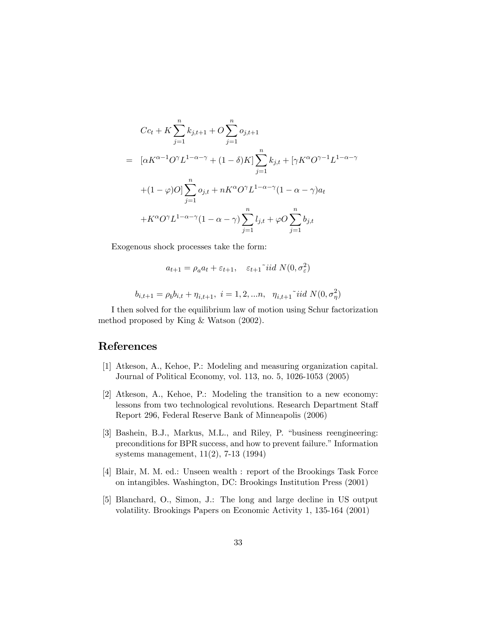$$
Cc_t + K \sum_{j=1}^n k_{j,t+1} + O \sum_{j=1}^n o_{j,t+1}
$$
  
= 
$$
[\alpha K^{\alpha-1}O^{\gamma}L^{1-\alpha-\gamma} + (1-\delta)K] \sum_{j=1}^n k_{j,t} + [\gamma K^{\alpha}O^{\gamma-1}L^{1-\alpha-\gamma} + (1-\varphi)O] \sum_{j=1}^n o_{j,t} + nK^{\alpha}O^{\gamma}L^{1-\alpha-\gamma}(1-\alpha-\gamma)a_t
$$
  
+
$$
K^{\alpha}O^{\gamma}L^{1-\alpha-\gamma}(1-\alpha-\gamma)\sum_{j=1}^n l_{j,t} + \varphi O \sum_{j=1}^n b_{j,t}
$$

Exogenous shock processes take the form:

$$
a_{t+1} = \rho_a a_t + \varepsilon_{t+1}, \quad \varepsilon_{t+1} \tilde{\phantom{a}} \text{iid } N(0, \sigma_{\varepsilon}^2)
$$

$$
b_{i,t+1} = \rho_b b_{i,t} + \eta_{i,t+1}, \ i = 1, 2, \dots n, \ \eta_{i,t+1} \tilde{\phantom{a}} \text{iid } N(0, \sigma_\eta^2)
$$

I then solved for the equilibrium law of motion using Schur factorization method proposed by King & Watson (2002).

## References

- [1] Atkeson, A., Kehoe, P.: Modeling and measuring organization capital. Journal of Political Economy, vol. 113, no. 5, 1026-1053 (2005)
- [2] Atkeson, A., Kehoe, P.: Modeling the transition to a new economy: lessons from two technological revolutions. Research Department Staff Report 296, Federal Reserve Bank of Minneapolis (2006)
- [3] Bashein, B.J., Markus, M.L., and Riley, P. "business reengineering: preconditions for BPR success, and how to prevent failure." Information systems management, 11(2), 7-13 (1994)
- [4] Blair, M. M. ed.: Unseen wealth : report of the Brookings Task Force on intangibles. Washington, DC: Brookings Institution Press (2001)
- [5] Blanchard, O., Simon, J.: The long and large decline in US output volatility. Brookings Papers on Economic Activity 1, 135-164 (2001)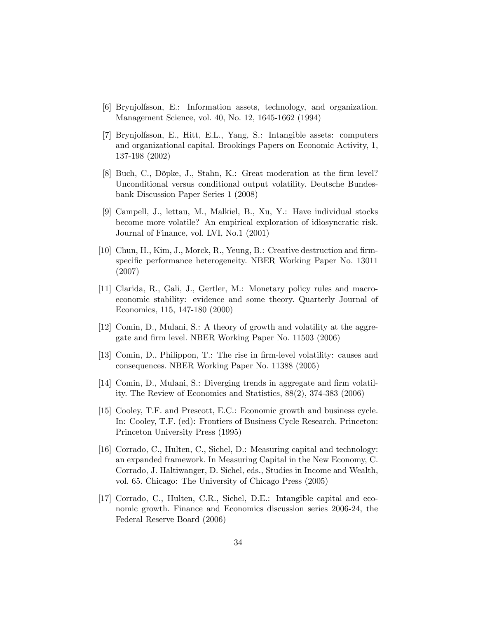- [6] Brynjolfsson, E.: Information assets, technology, and organization. Management Science, vol. 40, No. 12, 1645-1662 (1994)
- [7] Brynjolfsson, E., Hitt, E.L., Yang, S.: Intangible assets: computers and organizational capital. Brookings Papers on Economic Activity, 1, 137-198 (2002)
- [8] Buch, C., Döpke, J., Stahn, K.: Great moderation at the firm level? Unconditional versus conditional output volatility. Deutsche Bundesbank Discussion Paper Series 1 (2008)
- [9] Campell, J., lettau, M., Malkiel, B., Xu, Y.: Have individual stocks become more volatile? An empirical exploration of idiosyncratic risk. Journal of Finance, vol. LVI, No.1 (2001)
- [10] Chun, H., Kim, J., Morck, R., Yeung, B.: Creative destruction and firmspecific performance heterogeneity. NBER Working Paper No. 13011 (2007)
- [11] Clarida, R., Gali, J., Gertler, M.: Monetary policy rules and macroeconomic stability: evidence and some theory. Quarterly Journal of Economics, 115, 147-180 (2000)
- [12] Comin, D., Mulani, S.: A theory of growth and volatility at the aggregate and firm level. NBER Working Paper No. 11503 (2006)
- [13] Comin, D., Philippon, T.: The rise in Örm-level volatility: causes and consequences. NBER Working Paper No. 11388 (2005)
- [14] Comin, D., Mulani, S.: Diverging trends in aggregate and firm volatility. The Review of Economics and Statistics, 88(2), 374-383 (2006)
- [15] Cooley, T.F. and Prescott, E.C.: Economic growth and business cycle. In: Cooley, T.F. (ed): Frontiers of Business Cycle Research. Princeton: Princeton University Press (1995)
- [16] Corrado, C., Hulten, C., Sichel, D.: Measuring capital and technology: an expanded framework. In Measuring Capital in the New Economy, C. Corrado, J. Haltiwanger, D. Sichel, eds., Studies in Income and Wealth, vol. 65. Chicago: The University of Chicago Press (2005)
- [17] Corrado, C., Hulten, C.R., Sichel, D.E.: Intangible capital and economic growth. Finance and Economics discussion series 2006-24, the Federal Reserve Board (2006)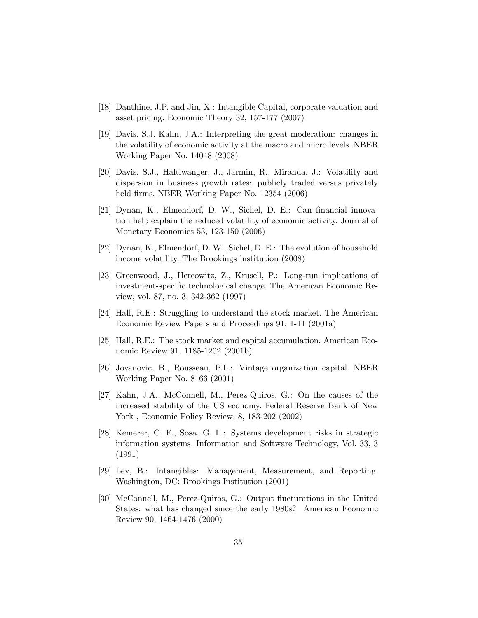- [18] Danthine, J.P. and Jin, X.: Intangible Capital, corporate valuation and asset pricing. Economic Theory 32, 157-177 (2007)
- [19] Davis, S.J, Kahn, J.A.: Interpreting the great moderation: changes in the volatility of economic activity at the macro and micro levels. NBER Working Paper No. 14048 (2008)
- [20] Davis, S.J., Haltiwanger, J., Jarmin, R., Miranda, J.: Volatility and dispersion in business growth rates: publicly traded versus privately held firms. NBER Working Paper No. 12354 (2006)
- [21] Dynan, K., Elmendorf, D. W., Sichel, D. E.: Can financial innovation help explain the reduced volatility of economic activity. Journal of Monetary Economics 53, 123-150 (2006)
- [22] Dynan, K., Elmendorf, D. W., Sichel, D. E.: The evolution of household income volatility. The Brookings institution (2008)
- [23] Greenwood, J., Hercowitz, Z., Krusell, P.: Long-run implications of investment-specific technological change. The American Economic Review, vol. 87, no. 3, 342-362 (1997)
- [24] Hall, R.E.: Struggling to understand the stock market. The American Economic Review Papers and Proceedings 91, 1-11 (2001a)
- [25] Hall, R.E.: The stock market and capital accumulation. American Economic Review 91, 1185-1202 (2001b)
- [26] Jovanovic, B., Rousseau, P.L.: Vintage organization capital. NBER Working Paper No. 8166 (2001)
- [27] Kahn, J.A., McConnell, M., Perez-Quiros, G.: On the causes of the increased stability of the US economy. Federal Reserve Bank of New York , Economic Policy Review, 8, 183-202 (2002)
- [28] Kemerer, C. F., Sosa, G. L.: Systems development risks in strategic information systems. Information and Software Technology, Vol. 33, 3 (1991)
- [29] Lev, B.: Intangibles: Management, Measurement, and Reporting. Washington, DC: Brookings Institution (2001)
- [30] McConnell, M., Perez-Quiros, G.: Output flucturations in the United States: what has changed since the early 1980s? American Economic Review 90, 1464-1476 (2000)